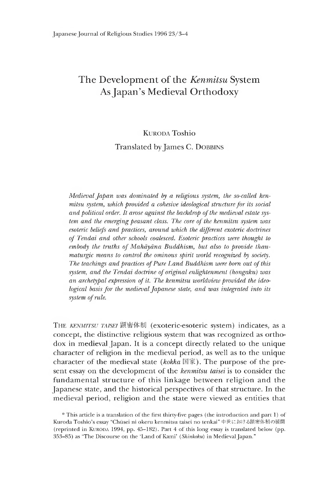# The Development of the *Kenmitsu* System As Japan's Medieval Orthodoxy

# Kuroda Toshio

Translated by James C. DOBBINS

*Medieval Japan was dominated by a religious system, the so-called kenmitsu system, which provided a cohesive ideological structure for its social and political order. It arose against the backdrop of the medieval estate system and the emerging peasant class. The core of the kenmitsu system was esoteric beliefs and practices, around which the different exoteric doctrines of Tendai and other schools coalesced. Esoteric practices were thought to embody the truths of Mahdydna Buddhism, but also to provide thaumaturgic means to control the ominous spirit world recognized by society. The teachings and practices of Pure Land Buddhism were born out of this system, and the Tendai doctrine of original enlightenment (hongaku) was an archetypal expression of it. The kenmitsu worldview provided the ideological basis for the medieval Japanese state, and was integrated into its system of rule.*

THE *KENMITSU TAISEI* 顕密体制 (exoteric-esoteric system) indicates, as a concept, the distinctive religious system that was recognized as orthodox in medieval Japan. It is a concept directly related to the unique character of religion in the medieval period, as well as to the unique character of the medieval state *(kokka* 国家). The purpose of the present essay on the development of the *kenmitsu taisei* is to consider the fundamental structure of this linkage between religion and the Japanese state, and the historical perspectives of that structure. In the medieval period, religion and the state were viewed as entities that

<sup>\*</sup> This article is a translation of the first thirty-five pages (the introduction and part 1) of Kuroda Toshio5s essay "ClrQsei ni okeru kenmitsu taisei no tenkai" 中世における顕密体制の展開 (reprinted in KURODA 1994, pp. 45–182). Part 4 of this long essay is translated below (pp. 353-85) as "The Discourse on the 'Land of Kami *(Shinkoku)* in Medieval Japan."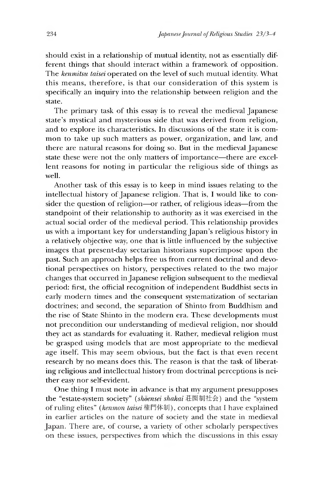should exist in a relationship of mutual identity, not as essentially different things that should interact within a framework of opposition. The *kenmitsu taisei* operated on the level of such mutual identity. What this means, therefore, is that our consideration of this system is specifically an inquiry into the relationship between religion and the state.

The primary task of this essay is to reveal the medieval Japanese state's mystical and mysterious side that was derived from religion, and to explore its characteristics. In discussions of the state it is common to take up such matters as power, organization, and law, and there are natural reasons for doing so. But in the medieval Japanese state these were not the only matters of importance—there are excellent reasons for noting in particular the religious side of things as well.

Another task of this essay is to keep in mind issues relating to the intellectual history of Japanese religion. That is, I would like to consider the question of religion—or rather, of religious ideas—from the standpoint of their relationship to authority as it was exercised in the actual social order of the medieval period. This relationship provides us with a important key for understanding Japan's religious history in a relatively objective way, one that is little influenced by the subjective images that present-day sectarian historians superimpose upon the past. Such an approach helps free us from current doctrinal and devotional perspectives on history, perspectives related to the two major changes that occurred in Japanese religion subsequent to the medieval period: first, the official recognition of independent Buddhist sects in early modern times and the consequent systematization of sectarian doctrines; and second, the separation of Shinto from Buddhism and the rise of State Shinto in the modern era. These developments must not precondition our understanding of medieval religion, nor should they act as standards for evaluating it. Rather, medieval religion must be grasped using models that are most appropriate to the medieval age itself. This may seem obvious, but the fact is that even recent research by no means does this. The reason is that the task of liberating religious and intellectual history from doctrinal perceptions is neither easy nor self-evident.

One thing I must note in advance is that my argument presupposes the "estate-system society" (shoensei shakai 荘園制社会) and the "system of ruling elites" (kenmon taisei 権門体制), concepts that I have explained in earlier articles on the nature of society and the state in medieval Japan. There are, of course, a variety of other scholarly perspectives on these issues, perspectives from which the discussions in this essay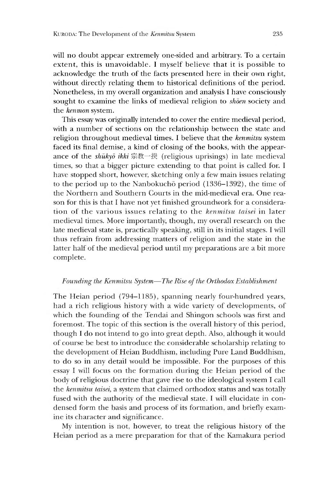will no doubt appear extremely one-sided and arbitrary. To a certain extent, this is unavoidable. I myself believe that it is possible to acknowledge the truth of the facts presented here in their own right, without directly relating them to historical definitions of the period. Nonetheless, in my overall organization and analysis I have consciously sought to examine the links of medieval religion to *shoen* society and the *kenmon* system.

This essay was originally intended to cover the entire medieval period, with a number of sections on the relationship between the state and religion throughout medieval times. I believe that the *kenmitsu* system faced its final demise, a kind of closing of the books, with the appearance of the *shukyo ikki* 宗教一揆 (religious uprisings) in late medieval times, so that a bigger picture extending to that point is called for. I have stopped short, however, sketching only a few main issues relating to the period up to the Nanbokucho period  $(1336-1392)$ , the time of the Northern and Southern courts in the mid-medieval era. One reason for this is that I have not yet finished groundwork for a consideration of the various issues relating to the *kenmitsu taisei* in later medieval times. More importantly, though, my overall research on the late medieval state is, practically speaking, still in its initial stages. I will thus refrain from addressing matters of religion and the state in the latter half of the medieval period until my preparations are a bit more complete.

# *Founding the Kenmitsu System— The Rise of the Orthodox Establishment*

The Heian period (794-1185), spanning nearly four-hundred years, had a rich religious nistory with a wide variety of developments, of which the founding of the Tendai and Shingon schools was first and foremost. The topic of this section is the overall history of this period, though I do not intend to go into great depth. Also, although it would of course be best to introduce the considerable scholarship relating to the development of Heian Buddhism, including Pure Land Buddhism, to do so in any detail would be impossible. For the purposes of this essay I will focus on the formation during the Heian period of the body of religious doctrine that gave rise to the ideological system I call the *kenmitsu taisei* a system that claimed orthodox status and was totally fused with the authority of the medieval state. I will elucidate in condensed form the basis and process of its formation, and briefly examine its character and significance.

My intention is not, however, to treat the religious history of the Heian period as a mere preparation for that of the Kamakura period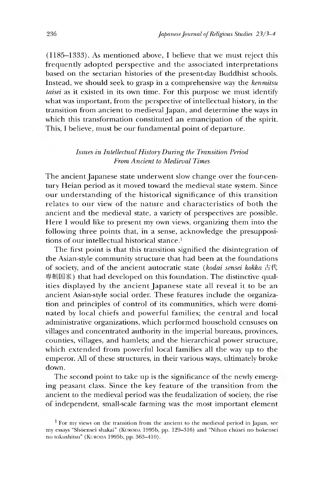(1185-1333). As mentioned above, I believe that we must reject this frequently adopted perspective and the associated interpretations based on the sectarian histories of the present-day Buddhist schools. Instead,we should seek to grasp in a comprehensive way the *kenmitsu taisei* as it existed in its own time. For this purpose we must identify what was important, from the perspective of intellectual history, in the transition from ancient to medieval Japan, and determine the ways in which this transformation constituted an emancipation of the spirit. This, I believe, must be our fundamental point of departure.

# *Issues in Intellectual History During the Transition Period From Ancient to Medieval Times*

The ancient Japanese state underwent slow change over the four-century Heian period as it moved toward the medieval state system. Since our understanding of the historical significance of this transition relates to our view of the nature and characteristics of both the ancient and the medieval state, a variety of perspectives are possible. Here I would like to present my own views, organizing them into the following three points that, in a sense, acknowledge the presuppositions of our intellectual historical stance.<sup>1</sup>

The first point is that this transition signified the disintegration of the Asian-style community structure that had been at the foundations of society, and of the ancient autocratic state *(kodai sensei kokka* 古代 専制国家) that had developed on this foundation. The distinctive qualities displayed by the ancient Japanese state all reveal it to be an ancient Asian-style social order. These features include the organization and principles of control of its communities, which were dominated by local chiefs and powerful families; the central and local administrative organizations, which performed household censuses on villages and concentrated authority in the imperial bureaus, provinces, counties, villages, and hamlets; and the hierarchical power structure, which extended from powerful local families all the way up to the emperor. All of these structures, in their various ways, ultimately broke down.

The second point to take up is the significance of the newly emerging peasant class, since the key feature of the transition from the ancient to the medieval period was the feudalization of society, the rise of independent, small-scale farming was the most important element

<sup>&</sup>lt;sup>1</sup> For my views on the transition from the ancient to the medieval period in Japan, see my essays "Shōensei shakai" (KURODA 1995b, pp. 129-316) and "Nihon chūsei no hokensei no tokushitsu" (KURODA 1995b, pp. 363-410).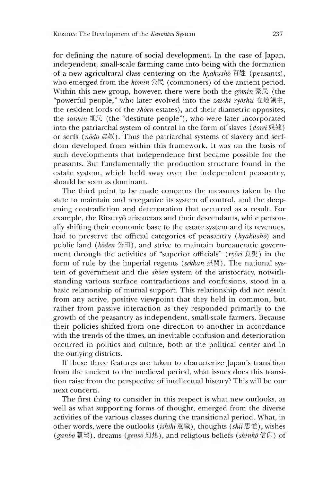for defining the nature of social development. In the case of Japan, independent, small-scale farming came into being with the formation of a new agricultural class centering on the *hyakusho* 百姓 (peasants), who emerged from the *komin* 公民 (commoners) of the ancient period. Within this new group, however, there were both the *gomin* 豪民 (the "powerful people," who later evolved into the *zaichi rydshu* 在地領王, the resident lords of the *shoen* estates), and their diametric opposites, the *saimin* 細民 (the "destitute people"), who were later incorporated into the patriarchal system of control in the form of slaves *(dorei* 奴隷) or serfs *(nodo* 農奴). Thus the patriarchal systems of slavery and serfdom developed from within this framework. It was on the basis of such developments that independence first became possible for the peasants. But fundamentally the production structure found in the estate system, which held sway over the independent peasantry, should be seen as dominant.

The third point to be made concerns the measures taken by the state to maintain and reorganize its system of control, and the deepening contradiction and deterioration that occurred as a result. For example, the Ritsuryo aristocrats and their descendants, while personally shifting their economic base to the estate system and its revenues, had to preserve the official categories of peasantry (*hyakusho*) and public land ( $k\bar{o}den \triangle \mathbb{H}$ ), and strive to maintain bureaucratic government through the activities of "superior officials" *(rydri* 反史) in the form of rule by the imperial regents *(sekkan* 摂関) . The national system of government and the *shoen* system of the aristocracy, notwithstanding various surface contradictions and confusions, stood in a basic relationship of mutual support. This relationship did not result from any active, positive viewpoint that they held in common, but rather from passive interaction as they responded primarily to the growth of the peasantry as independent, small-scale farmers. Because their policies shifted from one direction to another in accordance with the trends of the times, an inevitable confusion and deterioration occurred in politics and culture, both at the political center and in the outlying districts.

If these three features are taken to characterize Japan's transition from the ancient to the medieval period, what issues does this transition raise from the perspective or intellectual history? This will be our next concern.

The first thing to consider in this respect is what new outlooks, as well as what supporting forms of thought, emerged from the diverse activities of the various classes during the transitional period. What, in other words, were the outlooks *(ishiki*意識), thoughts *(shii*思惟), wishes (ganbo 願望), dreams (genso 幻想), and religious beliefs (shinko 信仰) of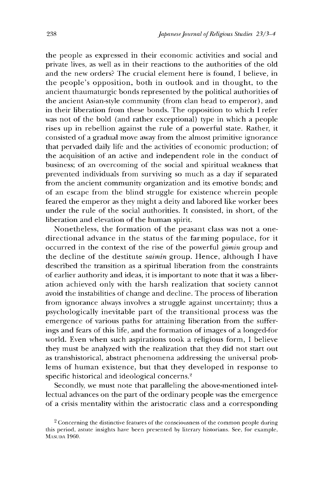the people as expressed in their economic activities and social and private lives, as well as in their reactions to the authorities of the old and the new orders? The crucial element here is found, I believe, in the people's opposition, both in outlook and in thought, to the ancient thaumaturgic bonds represented by the political authorities of the ancient Asian-style community (from clan head to emperor), and in their liberation from these bonds. The opposition to which I refer was not of the bold (and rather exceptional) type in which a people rises up in rebellion against the rule of a powerful state. Rather, it consisted of a gradual move away from the almost primitive ignorance that pervaded daily life and the activities of economic production; of the acquisition of an active and independent role in the conduct of business; of an overcoming of the social and spiritual weakness that prevented individuals from surviving so much as a day if separated from the ancient community organization and its emotive bonds; and of an escape from the blind struggle for existence wherein people feared the emperor as they might a deity and labored like worker bees under the rule of the social authorities. It consisted, in short, of the liberation and elevation of the human spirit.

Nonetheless, the formation of the peasant class was not a onedirectional advance in the status of the farming populace, for it occurred in the context of the rise of the powerful *gomin* group and the decline of the destitute *saimin* group. Hence, although I have described the transition as a spiritual liberation from the constraints of earlier authority and ideas, it is important to note that it was a liberation achieved only with the harsh realization that society cannot avoid the instabilities of change and decline. The process of liberation from ignorance always involves a struggle against uncertainty; thus a psychologically inevitable part of the transitional process was the emergence of various paths for attaining liberation from the sufferings and fears of this life, and the formation of images of a longed-for world. Even when such aspirations took a religious form, I believe they must be analyzed with the realization that they did not start out as transhistorical, abstract phenomena addressing the universal problems of human existence, but that they developed in response to specific historical and ideological concerns.<sup>2</sup>

Secondly, we must note that paralleling the above-mentioned intellectual advances on the part of the ordinary people was the emergence of a crisis mentality within the aristocratic class and a corresponding

<sup>&</sup>lt;sup>2</sup> Concerning the distinctive features of the consciousness of the common people during this period, astute insights have been presented by literary historians. See, for example, MASUDA 1960.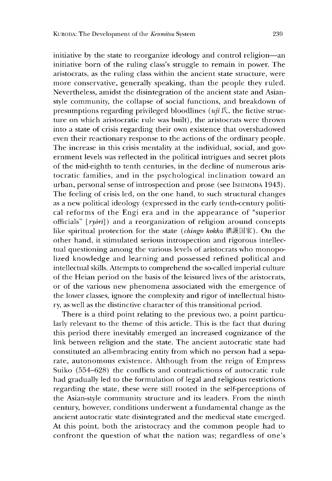initiative by the state to reorganize ideology and control religion—an initiative born of the ruling class's struggle to remain in power. The aristocrats, as the ruling class within the ancient state structure, were more conservative, generally speaking, than the people they ruled. Nevertheless, amidst the disintegration of the ancient state and Asianstyle community, the collapse of social functions, and breakdown of presumptions regarding privileged bloodlines  $(uji \nvert \nvert,$  the fictive structure on which aristocratic rule was built), the aristocrats were thrown into a state of crisis regarding their own existence that overshadowed even their reactionary response to the actions of the ordinary people. The increase in this crisis mentality at the individual, social, and government levels was reflected in the political intrigues and secret plots of the mid-eighth to tenth centuries, in the decline of numerous aristocratic families, and in the psychological inclination toward an urban, personal sense of introspection and prose (see Ishimoda 1943). The feeling of crisis led, on the one hand, to such structural changes as a new political ideology (expressed in the early tenth-century political reforms of the Engi era and in the appearance of "superior officials" [ *rydri]*) and a reorganization of religion around concepts like spiritual protection for the state (*chingo kokka* 鎮護国家). On the other hand, it stimulated serious introspection and rigorous intellectual questioning among the various levels of aristocrats who monopolized knowledge and learning and possessed refined political and intellectual skills. Attempts to comprehend the so-called imperial culture of the Heian period on the basis of the leisured lives of the aristocrats, or of the various new phenomena associated with the emergence of the lower classes, ignore the complexity and rigor of intellectual history, as well as the distinctive character of this transitional period.

There is a third point relating to the previous two, a point particularly relevant to the theme of this article. This is the fact that during this period there inevitably emerged an increased cognizance of the link between religion and the state. The ancient autocratic state had constituted an all-embracine entity from which no person had a separate, autonomous existence. Although from the reign of Empress Suiko (554–628) the conflicts and contradictions of autocratic rule had gradually led to the formulation of legal and religious restrictions regarding the state, these were still rooted in the self-perceptions of the Asian-style community structure and its leaders. From the ninth century, however, conditions underwent a fundamental change as the ancient autocratic state disintegrated and the medieval state emerged. At this point, both the aristocracy and the common people had to confront the question of what the nation was; regardless of one's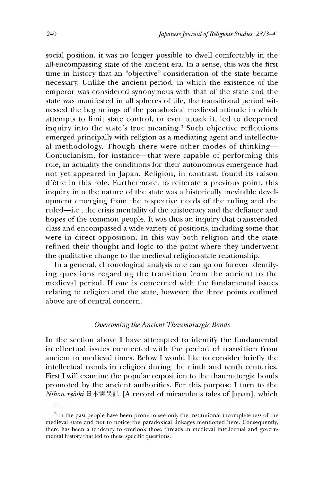social position, it was no longer possible to dwell comfortably in the all-encompassing state of the ancient era. In a sense, this was the first time in history that an "objective" consideration of the state became necessary. Unlike the ancient period, in which the existence of the emperor was considered synonymous with that of the state and the state was manifested in all spheres of life, the transitional period witnessed the beginnings of the paradoxical medieval attitude in which attempts to limit state control, or even attack it, led to deepened inquiry into the state's true meaning.<sup>3</sup> Such objective reflections emerged principally with religion as a mediating agent and intellectual methodology. Though there were other modes of thinking— Confucianism, for instance— that were capable of performing this role, in actuality the conditions for their autonomous emergence had not yet appeared in Japan. Religion, in contrast, found its raison d'être in this role. Furthermore, to reiterate a previous point, this inquiry into the nature of the state was a historically inevitable development emerging from the respective needs of the ruling and the ruled—i.e., the crisis mentality of the aristocracy and the defiance and hopes of the common people. It was thus an inquiry that transcended class and encompassed a wide variety of positions, including some that were in direct opposition. In this way both religion and the state refined their thought and logic to the point where they underwent the qualitative change to the medieval religion-state relationship.

In a general, chronological analysis one can go on forever identifying questions regarding the transition from the ancient to the medieval period. If one is concerned with the fundamental issues relating to religion and the state, however, the three points outlined above are of central concern.

### *Overcoming the Ancient Thaumaturgic Bonds*

In the section above I have attempted to identify the fundamental intellectual issues connected with the period of transition from ancient to medieval times. Below I would like to consider briefly the intellectual trends in religion during the ninth and tenth centuries. First I will examine the popular opposition to the thaumaturgic bonds promoted by the ancient authorities. For this purpose I turn to the *Nihon rydiki* 日本霊異言己[A record of miraculous tales of Japan], which

 $3$  In the past people have been prone to see only the institutional incompleteness of the medieval state and not to notice the paradoxical linkages mentioned here. Consequently, there has been a tendency to overlook those threads in medieval intellectual and governmental history that led to these specific questions.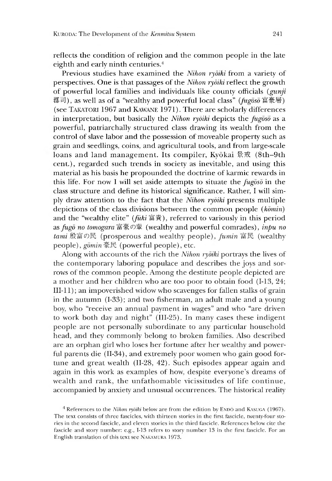reflects the condition of religion and the common people in the late eighth and early ninth centuries.4

Previous studies have examined the *Nihon ryōiki* from a variety of perspectives. One is that passages of the *Nihon rydiki* reflect the growth of powerful local families and individuals like county officials *(gunji* 郡司), as well as of a "wealthy and powerful local class" *(fugoso* 富豪層) (see Takatori 1967 and Kawane 1971). There are scholarly differences in interpretation, but basically the *Nihon rydiki* depicts the *fugoso* as a powerful, patriarchally structured class drawing its wealth from the control of slave labor and the possession of moveable property such as grain and seedlings, coins, and agricultural tools, and from large-scale loans and land management. Its compiler, Kyōkai 景戒 (8th-9th cent.), regarded such trends in society as inevitable, and using this material as his basis he propounded the doctrine of karmic rewards in this lite. For now I will set aside attempts to situate the *fugoso* in the class structure and define its historical significance. Rather, I will simply draw attention to the fact that the *Nihon rydiki* presents multiple depictions of the class divisions between the common people *{komin)* and the "wealthy elite" (fūki 富貴), referred to variously in this period as *fugo no tomogara* 富豪の輩 (wealthy and powerful comrades), *inpu no* tami 殷富の民 (prosperous and wealthy people), fumin 富民 (wealthy people), *gomin* 豪民 (powerful people), etc.

Alone with accounts of the rich the *Nihon rydiki* portrays the lives of the contemporary laboring populace and describes the joys and sorrows of the common people. Among the destitute people depicted are a mother and her children who are too poor to obtain food (1-13, 24; III-11); an impoverished widow who scavenges for fallen stalks of grain in the autumn (1-33); and two fisherman, an adult male and a young boy, who "receive an annual payment in wages" and who "are driven to work both day and night" (111-25). In many cases these indigent people are not personally subordinate to any particular household head, and they commonly belong to broken families. Also described are an orphan girl who loses her fortune after her wealthy and powerful parents die (II-34), and extremely poor women who gain good fortune and great wealth (II-28, 42). Such episodes appear again and again in this work as examples of how, despite everyone's dreams of wealth and rank, the unfathomable vicissitudes of life continue, accompanied by anxiety and unusual occurrences. The historical reality

<sup>4</sup> References to the *Nihon ryoiki* below are from the edition by ENDO and KASUGA (1967). The text consists of three fascicles, with thirteen stories in the first fascicle, twenty-four stories in the second fascicle, and eleven stories in the third fascicle. References below cite the fascicle and story number: e.g., 1-13 refers to story number 13 in the first fascicle. For an English translation of this text see NAKAMURA 1973.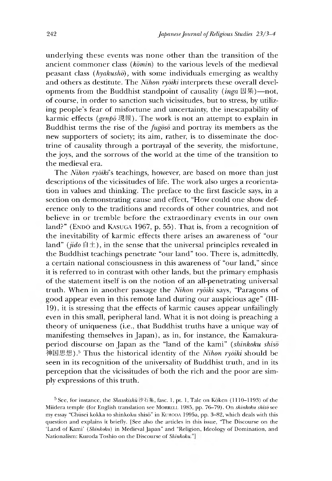underlying these events was none other than the transition of the ancient commoner class *{komin)* to the various levels of the medieval peasant class (*hyakusho),* with some individuals emerging as wealthy and others as destitute. The *Nihon ryōiki* interprets these overall developments from the Buddhist standpoint of causality *(inga* 因果)—not, of course, in order to sanction such vicissitudes, but to stress, by utilizing people's fear of misfortune and uncertainty, the inescapability of karmic effects (genpo 現報). The work is not an attempt to explain in Buddhist terms the rise of the *fugoso* and portray its members as the new supporters of society; its aim, rather, is to disseminate the doctrine of causality through a portrayal of the severity, the misfortune, the joys, and the sorrows of the world at the time of the transition to the medieval era.

The *Nihon ryōiki*'s teachings, however, are based on more than just descriptions of the vicissitudes of life. The work also urges a reorientation in values and thinking. The preface to the first fascicle says, in a section on demonstrating cause and effect, "How could one show deference only to the traditions and records of other countries, and not believe in or tremble before the extraordinary events in our own land?" (ENDO and KASUGA 1967, p. 55). That is, from a recognition of the inevitability of karmic effects there arises an awareness of "our land"  $(jido \hat{\pmb{\pm}} \hat{\pmb{\pm}})$ , in the sense that the universal principles revealed in the Buddhist teachings penetrate "our land" too. There is, admittedly, a certain national consciousness in this awareness of "our land," since it is referred to in contrast with other lands, but the primary emphasis of the statement itself is on the notion of an all-penetrating universal truth. When in another passage the *Nihon rydiki* says, "Paragons of good appear even in this remote land during our auspicious age" (HI-19), it is stressing that the effects of karmic causes appear unrailingly even in this small, peripheral land. What it is not doing is preaching a theory of uniqueness (i.e., that Buddhist truths have a unique way of manifesting themselves in Japan), as in, for instance, the Kamakuraperiod discourse on Japan as the "land of the kami" *(shinkoku shiso* 神国思想).<sup>5</sup> Thus the historical identity of the *Nihon ryōiki* should be seen in its recognition of the universality of Buddhist truth, and in its perception that the vicissitudes of both the rich and the poor are simply expressions of this truth.

<sup>5</sup> See, for instance, the *Shasekishu* 沙石集, fasc. 1, pt. 1, Tale on Koken (1110–1193) of the Miidera temple (for English translation see MORRELL 1985, pp. 76-79). On *shinkoku shiso* see my essay "Chusei kokka to shinkoku shiso" in KURODA 1995a, pp. 3-82, which deals with this question and explains it briefly. [See also the articles in this issue, "The Discourse on the 'Land of Kami' *(Shinkoku)* in Medieval Japan" and "Religion, Ideology of Domination, and Nationalism: Kuroda Toshio on the Discourse of *Shinkoku.*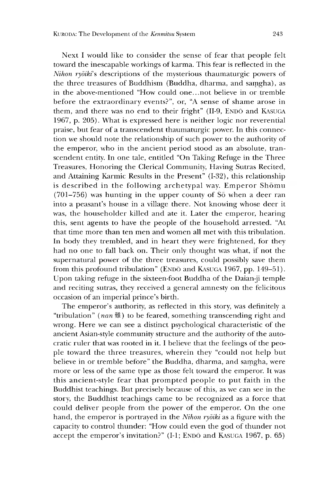Next I would like to consider the sense of fear that people felt toward the inescapable workings of karma. This fear is reflected in the *Nihon ryōiki*'s descriptions of the mysterious thaumaturgic powers of the three treasures of Buddhism (Buddha, dharma, and samgha), as in the above-mentioned "How could one...not believe in or tremble before the extraordinary events?", or, "A sense of shame arose in them, and there was no end to their fright" (II-9, ENDO and KASUGA 1967, p. 205). What is expressed here is neither logic nor reverential praise, but fear of a transcendent thaumaturgic power. In this connection we should note the relationship of such power to the authority of the emperor, who in the ancient period stood as an absolute, transcendent entity. In one tale, entitled "On Taking Refuge in the Three Treasures, Honoring the Clerical Community, Having Sutras Recited, and Attaining Karmic Results in the Present" (I-32), this relationship is described in the following archetypal way. Emperor Shomu  $(701-756)$  was hunting in the upper county of So when a deer ran into a peasant's house in a village there. Not knowing whose deer it was, the householder killed and ate it. Later the emperor, hearing this, sent agents to have the people of the household arrested. "At that time more than ten men and women all met with this tribulation. In body they trembled, and in heart they were frightened, for they had no one to fall back on. Their only thought was what, if not the supernatural power of the three treasures, could possibly save them from this profound tribulation" (ENDO and KASUGA 1967, pp. 149-51). Upon taking refuge in the sixteen-foot Buddha of the Daian-ji temple and reciting sutras, they received a general amnesty on the felicitous occasion of an imperial prince's birth.

The emperor's authority, as reflected in this story, was definitely a "tribulation" *(nan* 難) to be feared, something transcending right and wrong. Here we can see a distinct psychological characteristic of the ancient Asian-style community structure and the authority of the autocratic ruler that was rooted in it. I believe that the feelings of the people toward the three treasures, wherein they "could not help but believe in or tremble before" the Buddha, dharma, and samgha, were more or less of the same type as those felt toward the emperor. It was this ancient-style fear that prompted people to put faith in the Buddhist teachings. But precisely because of this, as we can see in the story, the Buddhist teachings came to be recognized as a force that could deliver people from the power of the emperor. On the one hand, the emperor is portrayed in the *Nihon ryōiki* as a figure with the capacity to control thunder: "How could even the god of thunder not accept the emperor's invitation?"  $(I-1; ENDO$  and KASUGA 1967, p. 65)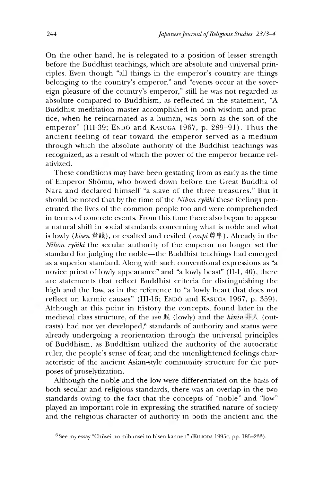On the other hand, he is relegated to a position of lesser strength before the Buddhist teachings, which are absolute and universal principles. Even though "all things in the emperor's country are things belonging to the country's emperor," and "events occur at the sovereign pleasure of the country's emperor," still he was not regarded as absolute compared to Buddhism, as reflected in the statement, "A Buddhist meditation master accomplished in both wisdom and practice, when he reincarnated as a human, was born as the son of the emperor" (III-39; ENDO and KASUGA 1967, p. 289-91). Thus the ancient feeling of fear toward the emperor served as a medium through which the absolute authority of the Buddhist teachings was recognized, as a result of which the power of the emperor became relativized.

These conditions may have been gestating from as early as the time of Emperor Shomu, who bowed down before the Great Buddha of Nara and declared himself "a slave of the three treasures." But it should be noted that by the time of the *Nihon ryoiki* these feelings penetrated the lives of the common people too and were comprehended in terms of concrete events. From this time there also began to appear a natural shift in social standards concerning what is noble and what is lowly *(kisen* 貴賤),or exalted and reviled *(sonpi* 尊卑). Already in the *Nihon ryōiki* the secular authority of the emperor no longer set the standard for judging the noble—the Buddhist teachings had emerged as a superior standard. Along with such conventional expressions as "a novice priest of lowly appearance" and "a lowly beast"  $(II-1, 40)$ , there are statements that reflect Buddhist criteria for distinguishing the high and the low, as in the reference to "a lowly heart that does not reflect on karmic causes" (III-15; ENDO and KASUGA 1967, p. 359). Although at this point in history the concepts, found later in the medieval class structure, of the *sen* 賎 (lowly) and the *hinin* 非人 (outcasts) had not yet developed, $6$  standards of authority and status were already undergoing a reorientation through the universal principles of Buddhism, as Buddhism utilized the authority of the autocratic ruler, the people's sense of fear, and the unenlightened feelings characteristic of the ancient Asian-style community structure for the purposes of proselytization.

Although the noble and the low were differentiated on the basis of both secular and religious standards, there was an overlap in the two standards owing to the fact that the concepts of "noble" and "low" played an important role in expressing the stratified nature of society and the religious character of authority in both the ancient and the

 $6$  See my essay "Chūsei no mibunsei to hisen kannen" (KURODA 1995c, pp. 185-233).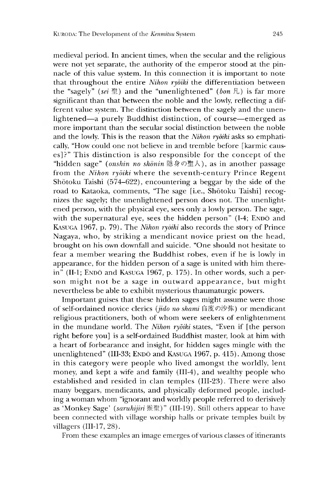medieval period. In ancient times, when the secular and the religious were not yet separate, the authority of the emperor stood at the pinnacle of this value system. In this connection it is important to note that throughout the entire *Nihon ryothi* the differentiation between the "sagely" (sei  $\ddot{\mathbb{E}}$ ) and the "unenlightened" *(bon*  $\ddot{L}$ ) is far more significant than that between the noble and the lowly, reflecting a different value system. The distinction between the sagely and the unenlightened—a purely Buddhist distinction, of course—emerged as more important than the secular social distinction between the noble and the lowly. This is the reason that the *Nihon ryōiki* asks so emphatically, "How could one not believe in and tremble before [karmic causes]?" This distinction is also responsible for the concept of the "hidden sage" *(onshin no shonin* 隱身の聖人),as in another passage from the *Nihon rydiki* where the seventh-century Prince Regent Shōtoku Taishi ( $574-622$ ), encountering a beggar by the side of the road to Kataoka, comments, "The sage [i.e., Shōtoku Taishi] recognizes the sagely; the unenlightened person does not. The unenlightened person, with the physical eye, sees only a lowly person. The sage, with the supernatural eye, sees the hidden person" (I-4; ENDO and KASUGA 1967, p. 79). The *Nihon ryoiki* also records the story of Prince Nagaya, who, by striking a mendicant novice priest on the head, brought on his own downfall and suicide. "One should not hesitate to fear a member wearing the Buddhist robes, even if he is lowly in appearance, for the hidden person of a sage is united with him there $in$ <sup>"</sup> (II-1; ENDO and KASUGA 1967, p. 175). In other words, such a person might not be a sage in outward appearance, but might nevertheless be able to exhibit mysterious thaumaturgic powers.

Important guises that these hidden sages might assume were those of self-ordained novice clerics *\jido no shami* 度の沙ヽ弥) or mendicant religious practitioners, both of whom were seekers of enlightenment in the mundane world. The *Nihon ryoiki* states, "Even if [the person right before you] is a self-ordained Buddhist master, look at him with a heart of forbearance and insight, for hidden sages mingle with the unenlightened" (III-33; ENDO and KASUGA 1967, p. 415). Among those in this category were people who lived amongst the worldly, lent money, and kept a wife and family (III-4), and wealthy people who established and resided in clan temples (III-23). There were also many beggars, mendicants, and physically deformed people, including a woman whom "ignorant and worldly people referred to derisively as 'Monkey Sage' (saruhijiri 猴聖)" (III-19). Still others appear to have been connected with village worship halls or private temples built by villagers  $(III-17, 28)$ .

From these examples an image emerges of various classes of itinerants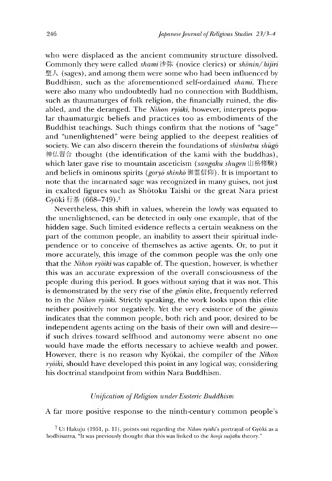who were displaced as the ancient community structure dissolved. Commonly they were called *shami* 沙弥 (novice clerics) or *shōnin/hijiri* 聖人 (sages), and among them were some who had been influenced by Buddhism, such as the aforementioned self-ordained *shami.* There were also many who undoubtedly had no connection with Buddhism, such as thaumaturges of folk religion, the financially ruined, the disabled, and the deranged. The *Nihon ryoiki,* however, interprets popular thaumaturgic beliefs and practices too as embodiments of the Buddhist teachings. Such things confirm that the notions of "sage" and "unenlightened" were being applied to the deepest realities of society. We can also discern therein the foundations of *shinbutsu shugo* 神仏習合 thought (the identification of the kami with the buddhas), which later gave rise to mountain asceticism *(sangaku shugen* 山岳修験) and beliefs in ominous spirits (*goryo shinko* 御霊信仰). It is important to note that the incarnated sage was recognized in many guises, not just in exalted figures such as Shōtoku Taishi or the great Nara priest Gy6ki 行 基 (668-749).7

Nevertheless, this shift in values, wherein the lowly was equated to the unenliehtened, can be detected in only one example, that of the hidden sage. Such limited evidence reflects a certain weakness on the part of the common people, an inability to assert their spiritual independence or to conceive of themselves as active agents. Or, to put it more accurately, this image of the common people was the only one that the *Nihon ryoiki* was capable of. The question, however, is whether this was an accurate expression of the overall consciousness of the people during this period. It goes without saying that it was not. This is demonstrated by the very rise of the *gomin* elite, frequently referred to in the *Nihon ryōiki*. Strictly speaking, the work looks upon this elite neither positively nor neeatively. Yet the very existence of the *gomin* indicates that the common people, both rich and poor, desired to be independent agents acting on the basis of their own will and desire if such drives toward selfhood and autonomy were absent no one would have made the efforts necessary to achieve wealth and power. However, there is no reason why Kyokai, the compiler of the *Nihon ryoiki*, should have developed this point in any logical way, considering his doctrinal standpoint from within Nara Buddhism.

#### *Umjication oj Religion under Esoteric Buddhism*

A far more positive response to the ninth-century common people's

 Ui Hakuju (1951, p. 11), points out regarding the *Nihon rydiki,s* portrayal of Gyoki as a bodhisattva, "It was previously thought that this was linked to the *honji suijaku* theory."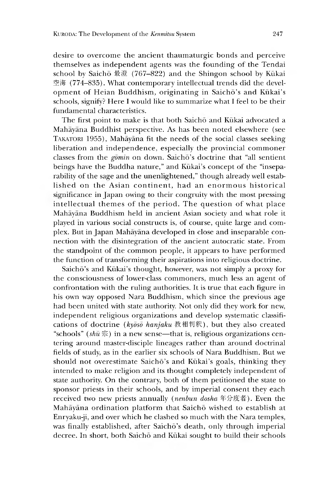desire to overcome the ancient thaumaturgic bonds and perceive themselves as independent agents was the founding of the Tendai school by Saicho 最澄 (767-822) and the Shingon school by Kukai 空海 (774-835). What contemporary intellectual trends did the development of Heian Buddhism, originating in Saicho's and Kūkai's schools, signify? Here I would like to summarize what I feel to be their fundamental characteristics.

The first point to make is that both Saichō and Kūkai advocated a Mahayana Buddhist perspective. As has been noted elsewhere (see TAKATORI 1955), Mahayana fit the needs of the social classes seeking liberation and independence, especially the provincial commoner classes from the *gomin* on down. Saicho's doctrine that "all sentient beings have the Buddha nature," and Kūkai's concept of the "inseparability of the sage and the unenlightened," though already well established on the Asian continent, had an enormous historical significance in Japan owing to their congruity with the most pressing intellectual themes of the period. The question of what place Mahayana Buddhism held in ancient Asian society and what role it played in various social constructs is, of course, quite large and complex. But in Japan Mahayana developed in close and inseparable connection with the disintegration of the ancient autocratic state. From the standpoint of the common people, it appears to have performed the function of transforming their aspirations into religious doctrine.

Saichō's and Kūkai's thought, however, was not simply a proxy for the consciousness of lower-class commoners, much less an agent of confrontation with the ruling authorities. It is true that each figure in his own way opposed Nara Buddhism, which since the previous age had been united with state authority. Not only did they work for new, independent religious organizations and develop systematic classifications of doctrine (kyoso hanjaku 教相判釈), but they also created "schools"  $(\sin \hat{\pi})$  in a new sense—that is, religious organizations centering around master-disciple lineages rather than around doctrinal fields of study, as in the earlier six schools of Nara Buddhism. But we should not overestimate Saichō's and Kūkai's goals, thinking they intended to make religion and its thought completely independent of state authority. On the contrary, both of them petitioned the state to sponsor priests in their schools, and by imperial consent they each received two new priests annually *(nenbun dosha*年分度者). Even the Mahāyāna ordination platform that Saichō wished to establish at Enryaku-ji, and over which he clashed so much with the Nara temples, was finally established, after Saicho's death, only through imperial decree. In short, both Saicho and Kukai sought to build their schools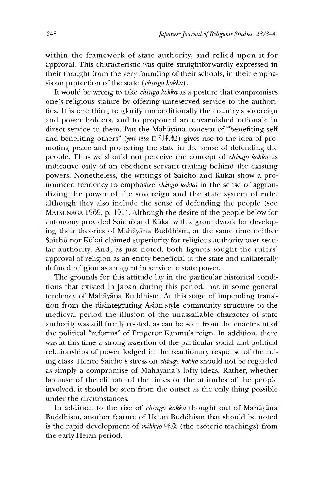within the framework of state authority, and relied upon it for approval. This characteristic was quite straightforwardly expressed in their thought from the very founding of their schools, in their emphasis on protection of the state (*chingo kokka).*

It would be wrong to take *chingo kokka* as a posture that compromises one's religious stature by offering unreserved service to the authorities. It is one thing to glorify unconditionally the country's sovereign and power holders, and to propound an unvarnished rationale in direct service to them. But the Mahayana concept of "benefiting self and benefiting others" *(jiri rita* 自利利他) gives rise to the idea of promoting peace and protecting the state in the sense of defending the people. Thus we should not perceive the concept of *chingo kokka* as indicative only of an obedient servant trailing behind the existing powers. Nonetheless, the writings of Saichō and Kūkai show a pronounced tendency to emphasize *chingo kokka* in the sense of aggrandizing the power of the sovereign and the state system of rule, although they also include the sense of defending the people (see MATSUNAGA 1969, p. 191). Although the desire of the people below for autonomy provided Saicho and Kūkai with a groundwork for developine their theories of Mahayana Buddhism, at the same time neither Saichō nor Kūkai claimed superiority for religious authority over secular authority. And, as just noted, both figures sought the rulers' approval of religion as an entity beneficial to the state and unilaterally defined religion as an agent in service to state power.

The grounds for this attitude lay in the particular historical conditions that existed in Japan during this period, not in some general tendency of Mahāyāna Buddhism. At this stage of impending transition from the disintegrating Asian-style community structure to the medieval period the illusion of the unassailable character of state authority was still firmly rooted, as can be seen from the enactment of the political "reforms" of Emperor Kanmu's reign. In addition, there was at this time a strong assertion of the particular social and political relationships of power lodged in the reactionary response of the ruling class. Hence Saichō's stress on *chingo kokka* should not be regarded as simply a compromise of Mahāyāna's lofty ideas. Rather, whether because of the climate of the times or the attitudes of the people involved, it should be seen from the outset as the only thing possible under the circumstances.

In addition to the rise of *chingo kokka* thought out of Mahayana Buddhism, another feature of Heian Buddhism that should be noted is the rapid development of *mikkyo* 密教 (the esoteric teachings) from the early Heian period.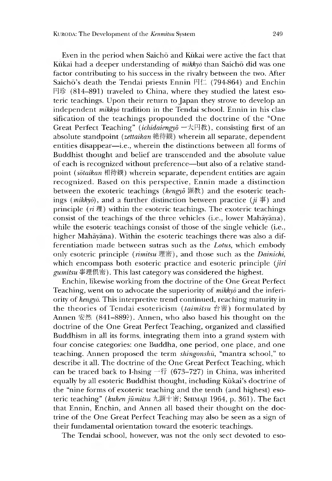Even in the period when Saicho and Kukai were active the fact that Kūkai had a deeper understanding of *mikkyō* than Saichō did was one factor contributing to his success in the rivalry between the two. After Saichō's death the Tendai priests Ennin  $H\subset (794-864)$  and Enchin 円珍 (814-891) traveled to China, where they studied the latest esoteric teachings. Upon their return to Japan they strove to develop an independent *mikkyd* tradition in the Tendai school. Ennin in his classification of the teachings propounded the doctrine of the "One Great Perfect Teaching" (*ichidaiengyō* 一大円教), consisting first of an absolute standpoint (*zettaikan* 絶待観) wherein all separate, dependent entities disappear—i.e., wherein the distinctions between all forms of Buddhist thought and belief are transcended and the absolute value of each is recognized without preference—but also of a relative standpoint *(sōtaikan* 相待観) wherein separate, dependent entities are again recognized. Based on this perspective, Ennin made a distinction between the exoteric teachings (kengyō 顕教) and the esoteric teachings ( $mikky\overline{o}$ ), and a further distinction between practice ( $ji \equiv$ ) and principle *(ri M)* within the esoteric teachings. The exoteric teachings consist of the teachings of the three vehicles (i.e., lower Mahayana), while the esoteric teachings consist of those of the single vehicle (i.e., higher Mahayana). Within the esoteric teachings there was also a differentiation made between sutras such as the *Lotus,* which embody only esoteric principle (*rimitsu* 理密), and those such as the *Dainichi*, which encompass both esoteric practice and esoteric principle *{jiri gumitsu* 事理倶密) .This last category was considered the highest.

Enchin, likewise working from the doctrine of the One Great Perfect Teaching, went on to advocate the superiority of *mikkyd* and the inferiority of *kengyd.* This interpretive trend continued, reaching maturity in the theories of Tendai esotericism *(taimitsu* 台密) formulated by Annen 安然  $(841-889)$ . Annen, who also based his thought on the doctrine of the One Great Perfect Teaching, organized and classified Buddhism in all its forms, integrating them into a grand system with four concise categories: one Buddha, one period, one place, and one teaching. Annen proposed the term *shtngonshu,* "mantra school," to describe it all. The doctrine of the One Great Perfect Teaching, which can be traced back to I-hsing  $-\angle$   $(673-727)$  in China, was inherited equally by all esoteric Buddhist thought, including Kūkai's doctrine of the "nine forms of exoteric teaching and the tenth (and highest) esoteric teaching" (kuken jūmitsu 九顕十密; SHIMAJI 1964, p. 361). The fact that Ennin, Enchin, and Annen all based their thought on the doctrine of the One Great Perfect Teaching may also be seen as a sign of their fundamental orientation toward the esoteric teachings.

The Tendai school, however, was not the only sect devoted to eso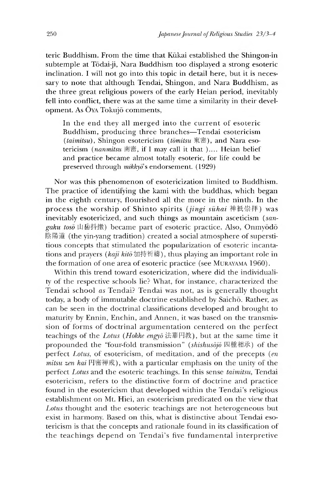teric Buddhism. From the time that Kūkai established the Shingon-in subtemple at Todai-ji, Nara Buddhism too displayed a strong esoteric inclination. I will not go into this topic in detail here, but it is necessary to note that although Tendai, Shingon, and Nara Buddhism, as the three great religious powers of the early Heian period, inevitably fell into conflict, there was at the same time a similarity in their development. As Oya Tokujo comments,

In the end they all merged into the current of esoteric Buddhism, producing three branches—Tendai esotericism (*taimitsu)*, shingon esotericism (*tomitsu* 東密),and Nara esotericism *{nanmitsu* 南密,if I may call it that ).... Heian belief and practice became almost totally esoteric, for life could be preserved through *mikkyo<sup>†</sup>s* endorsement. (1929)

Nor was this phenomenon of esotencization limited to Buddhism. The practice of identifying the kami with the buddhas, which began in the eighth century, flourished all the more in the ninth. In the process the worship of Shinto spirits *(jingi sūhai* 神祇崇拝) was inevitably esotericized, and such things as mountain asceticism (sangaku toso<sup>I</sup>山岳抖擻) became part of esoteric practice. Also, Onmyodo 陰陽道 (the yin-yang tradition) created a social atmosphere of superstitious concepts that stimulated the popularization of esoteric incantations and prayers *(kaji kitō* 加持祈禱), thus playing an important role in the formation of one area of esoteric practice (see Murayama 1960).

Within this trend toward esotericization, where did the individuality of the respective schools lie? What, for instance, characterized the Tendai school *as* Tendai? Tendai was not, as is generally thought today, a body of immutable doctrine established by Saicho. Rather, as can be seen in the doctrinal classifications developed and brought to maturity by Ennin, Enchin, and Annen, it was based on the transmission of forms of doctrinal areumentation centered on the perfect teachings of the *Lotus* (*Hokke engyō* 法華円教), but at the same time it propounded the "four-fold transmission" (shishusojo 四種相承) of the perfect *Lotus,* of esotericism, of meditation, and of the precepts *(en mitsu zen kai* 円密禅戒), with a particular emphasis on the unity of the perfect *Lotus* and the esoteric teachings. In this sense *taimitsu*, Tendai esotericism, refers to the distinctive form of doctrine and practice found in the esotericism that developed within the Tendai's religious establishment on Mt. Hiei, an esotericism predicated on the view that *Lotus* thought and the esoteric teachings are not heterogeneous but exist in harmony. Based on this, what is distinctive about Tendai esotericism is that the concepts and rationale found in its classification of the teachings depend on Tendai's five fundamental interpretive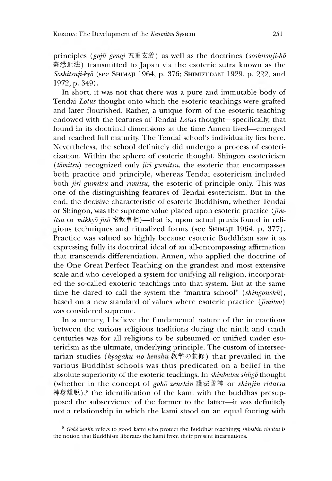principles *(goju gengi* 五重玄義)as well as the doctrines *(soshitsuji-hd* 蘇悉地法) transmitted to Japan via the esoteric sutra known as the Soshitsuji-kyō (see SHIMAJI 1964, p. 376; SHIMIZUDANI 1929, p. 222, and 1972, p. 349).

In short, it was not that there was a pure and immutable body of Tendai *Lotus* thought onto which the esoteric teachings were grafted and later flourished. Rather, a unique form of the esoteric teaching endowed with the features of Tendai *Lotus* thought-specifically, that founa in its doctrinal dimensions at the time Annen lived—emerged and reached full maturity. The Tendai school's individuality lies here. Nevertheless, the school definitely did undergo a process of esotericization. Within the sphere of esoteric thought, shingon esotericism (*tomitsu)* recognized only *jiri gumitsu,* the esoteric that encompasses both practice and principle, whereas Tendai esotericism included both *jiri gumitsu* and *rimitsu,* the esoteric of principle only. This was one of the distinguishing features of Tendai esotericism. But in the end, the decisive characteristic of esoteric Buddhism, whether Tendai or Shingon, was the supreme value placed upon esoteric practice ( $\ddot{\textit{p}}$ *m*itsu or mikkyō jisō 密教事相)—that is, upon actual praxis found in religious techniques and ritualized forms (see SHIMAJI 1964, p. 377). Practice was valued so highly because esoteric Buddhism saw it as expressing fully its doctrinal ideal of an all-encompassing affirmation that transcends differentiation. Annen, who applied the doctrine of the One Great Perfect Teaching on the grandest and most extensive scale and who developed a system for unifying all religion, incorporated the so-called exoteric teachings into that system. But at the same time he dared to call the system the "mantra school" *(shingonshu),* based on a new standard of values where esoteric practice *{jimitsu)* was considered supreme.

In summary, I believe the fundamental nature of the interactions between the various religious traditions during the ninth and tenth centuries was for all religions to be subsumed or unified under esotericism as the ultimate, underlying principle. The custom of intersectarian studies (kyōgaku no kenshu 教学の兼修) that prevailed in the various Buddhist schools was thus predicated on a belief in the absolute superiority of the esoteric teachings. In *shinbutsu shugo* thought (whether in the concept of *goho* zenshin 護法善神 or *shinjin ridatsu* 神身離脱),<sup>8</sup> the identification of the kami with the buddhas presupposed the subservience of the former to the latter—it was definitely not a relationship in which the kami stood on an equal footing with

<sup>8</sup> *Goho zenjin* refers to good kami who protect the Buddhist teachings; *shinshin ridatsu* is the notion that Buddhism liberates the kami from their present incarnations.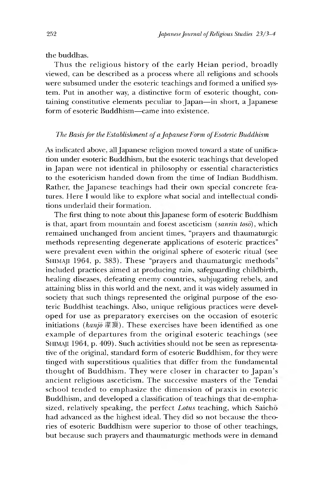the buddhas.

Thus the religious history of the early Heian period, broadly viewed, can be described as a process where all religions and schools were subsumed under the esoteric teachings and formed a unified system. Put in another way, a distinctive form of esoteric thought, containing constitutive elements peculiar to Japan—in short, a Japanese form of esoteric Buddhism—came into existence.

# *The Basis for the Establishment of a Japanese Form of Esoteric Buddhism*

As indicated above, all Japanese religion moved toward a state of unification under esoteric Buddhism, but the esoteric teachings that developed in Japan were not identical in philosophy or essential characteristics to the esotericism handed down from the time of Indian Buddhism. Rather, the Japanese teachings had their own special concrete features. Here I would like to explore what social and intellectual conditions underlaid their formation.

The first thing to note about this Japanese form of esoteric Buddhism is that, apart from mountain and forest asceticism *(sanrin toso)*, which remained unchanged from ancient times, "prayers and thaumaturgic methods representing degenerate applications of esoteric practices" were prevalent even within the original sphere of esoteric ritual (see SHIMAJI 1964, p. 383). These "prayers and thaumaturgic methods" included practices aimed at producing rain, safeguarding childbirth, healing diseases, defeating enemy countries, subjugating rebels, and attaining bliss in this world and the next,and it was widely assumed in society that such things represented the original purpose of the esoteric Buddhist teachings. Also, unique religious practices were developed for use as preparatory exercises on the occasion of esoteric initiations *(kanjo* 灌頂). These exercises have been identified as one example of departures from the original esoteric teachings (see SHIMAJI 1964, p. 409). Such activities should not be seen as representative of the original, standard form of esoteric Buddhism, for they were tinged with superstitious qualities that differ from the fundamental thought of Buddhism. They were closer in character to Japan's ancient religious asceticism. The successive masters of the Tendai school tended to emphasize the dimension of praxis in esoteric Buddhism, and developed a classification of teachings that de-emphasized, relatively speaking, the perfect *Lotus* teaching, which Saicho had advanced as the highest ideal. They did so not because the theories of esoteric Buddhism were superior to those of other teachings, but because such prayers and thaumaturgic methods were in demand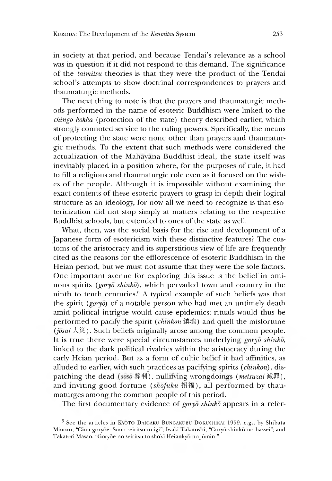in society at that period, and because Tendai's relevance as a school was in question if it did not respond to this demand. The significance of the *taimitsu* theories is that they were the product of the Tendai school's attempts to show doctrinal correspondences to prayers and thaumaturgic methods.

The next thing to note is that the prayers and thaumaturgic methods performed in the name of esoteric Buddhism were linked to the *chingo kokka* (protection of the state) theory described earlier, which strongly connoted service to the ruling powers. Specifically, the means of protecting the state were none other than prayers and thaumaturgic methods. To the extent that such methods were considered the actualization of the Mahayana Buddhist ideal, the state itself was inevitably placed in a position where, for the purposes of rule, it had to fill a religious and thaumaturgic role even as it focused on the wishes of the people. Although it is impossible without examining the exact contents of these esoteric prayers to grasp in depth their logical structure as an ideology, for now all we need to recognize is that esotericization did not stop simply at matters relating to the respective Buddhist schools, but extended to ones of the state as well.

What, then, was the social basis for the rise and development of a Japanese form of esotericism with these distinctive features? The customs of the aristocracy and its superstitious view of life are frequently cited as the reasons for the efflorescence of esoteric Buddhism in the Heian period, but we must not assume that they were the sole factors. One important avenue for exploring this issue is the belief in ominous spirits *(goryo shinko)*, which pervaded town and country in the ninth to tenth centuries.9 A typical example of such beliefs was that the spirit *(goryo)* of a notable person who had met an untimely death amid political intrigue would cause epidemics; rituals would thus be performed to pacify the spirit *(chinkon* 鎮魂) and quell the misfortune *{josai 大災)•* Such beliefs originally arose among the common people. It is true there were special circumstances underlying *goryo shinko*, linked to the dark political rivalries within the aristocracy during the early Heian period. But as a form of cultic belief it had affinities, as alluded to earlier, with such practices as pacifying spirits (*chinkon*), dispatching the dead (soso 葬判), nullifying wrongdoings (metsuzai 滅罪), and inviting good fortune *(shõfuku* 招福), all performed by thaumaturges among the common people of this period.

The first documentary evidence of *goryo shinko* appears in a refer-

<sup>&</sup>lt;sup>9</sup> See the articles in KYOTO DAIGAKU BUNGAKUBU DOKUSHIKAI 1959, e.g., by Shibata Minoru, "Gion goryōe: Sono seiritsu to igi"; Iwaki Takatoshi, "Goryō shinkō no hassei"; and Takatori Masao, "Goryōe no seiritsu to shoki Heiankyō no jūmin."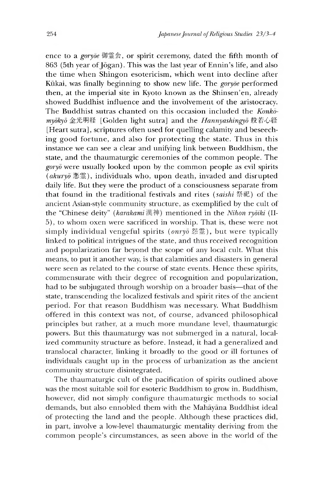ence to a *goryoe* 御霊会, or spirit ceremony, dated the fifth month of 863 (5th year of Jogan). This was the last year of Ennin's life, and also the time when Shineon esotericism, which went into decline after Kūkai, was finally beginning to show new life. The *goryoe* performed then, at the imperial site in Kyoto known as the Shinsen'en, already showed Buddnist influence and the involvement of the aristocracy. The Buddhist sutras chanted on this occasion included the *Konkomydkyd* 金 光 明 経 [Golden light sutra] and the *Hannyashingyd* 般若心経 [Heart sutra], scriptures often used for quelling calamity and beseeching good fortune, and also for protecting the state. Thus in this instance we can see a clear and unifying link between Buddhism, the state, and the thaumaturgic ceremonies of the common people. The *goryo* were usually looked upon by the common people as evil spirits *(akuryo* 悪霊),individuals who, upon death, invaded and disrupted daily life. But they were the product of a consciousness separate from that found in the traditional festivals and rites *(saishi* 祭祀) of the ancient Asian-style community structure, as exemplified by the cult of the "Chinese deity" (karakami漢神) mentioned in the *Nihon ryōiki* (II-5), to whom oxen were sacrificed in worship. That is, these were not simply individual vengeful spirits (*onryo* 怨霊), but were typically linked to political intrigues of the state, and thus received recognition and popularization far beyond the scope of any local cult. What this means, to put it another way, is that calamities and disasters in general were seen as related to the course of state events. Hence these spirits, commensurate with their degree of recognition and popularization, had to be subjugated through worsnip on a broader basis—that of the state, transcending the localized festivals and spirit rites of the ancient period. For that reason Buddhism was necessary. What Buddhism offered in this context was not, of course, advanced philosophical principles but rather, at a much more mundane level, thaumaturgic powers. But this thaumaturgy was not submerged m a natural, localized community structure as before. Instead, it had a generalized and translocal character, linking it broadly to the good or ill fortunes of individuals caught up in the process of urbanization as the ancient community structure disintegrated.

The thaumaturgic cult of the pacification of spirits outlined above was the most suitable soil for esoteric Buddhism to grow in. Buddhism, however, did not simply configure thaumaturgic methods to social demands, but also ennobled them with the Mahayana Buddhist ideal of protecting the land and the people. Although these practices did, in part, involve a low-level thaumaturgic mentality deriving from the common people's circumstances, as seen above in the world of the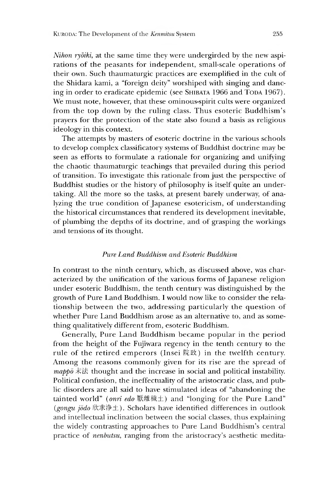*Nihon ryōiki*, at the same time they were undergirded by the new aspirations of the peasants for independent, small-scale operations of their own. Such thaumaturgic practices are exemplified in the cult of the Shidara kami, a "foreign deity" worshiped with singing and dancing in order to eradicate epidemic (see SHIBATA 1966 and TODA 1967). We must note, however, that these ominous-spirit cults were organized from the top down by the ruling class. Thus esoteric Buddhism's prayers for the protection of the state also found a basis as religious ideology in this context.

The attempts by masters of esoteric doctrine in the various schools to develop complex classificatory systems of Buddhist doctrine may be seen as efforts to formulate a rationale for organizing and unifying the chaotic thaumaturgic teachings that prevailed during this period of transition. To investigate this rationale from just the perspective of Buddhist studies or the history of philosophy is itself quite an undertaking. All the more so the tasks, at present barely underway, of analyzing the true condition of Japanese esotericism, of understanding the historical circumstances that rendered its development inevitable, of plumbing the depths of its doctrine, and of grasping the workings and tensions of its thought.

#### *Pure Land Buddhism and Esoteric Buddhism*

In contrast to the ninth century, which, as discussed above, was characterized by the unification of the various forms of Japanese religion under esoteric Buddhism, the tenth century was distinguished by the growth of Pure Land Buddhism. I would now like to consider the relationship between the two, addressing particularly the question of whether Pure Land Buddhism arose as an alternative to, and as something qualitatively different from, esoteric Buddhism.

Generally, Pure Land Buddhism became popular in the period from the height of the Fujiwara regency in the tenth century to the rule of the retired emperors (Insei 院政) in the twelfth century. Among the reasons commonly given for its rise are the spread of *mappo* 木法 thought and the increase in social and political instability. Political confusion, the ineffectuality of the aristocratic class, and public disorders are all said to have stimulated ideas of "abandoning the tainted world" *(onri edo* 厭離穢土) and "longing for the Pure Land" (gongu jodo 欣求浄土). Scholars have identified differences in outlook and intellectual inclination between the social classes, thus explaining the widely contrasting approaches to Pure Land Buddhism's central practice of *nenbutsu,* ranging from the aristocracy's aesthetic medita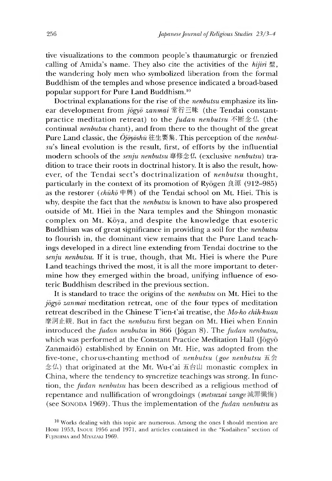tive visualizations to the common people's thaumaturgic or frenzied calling of Amida's name. They also cite the activities of the *hijin* 聖, the wandering holy men who symbolized liberation from the formal Buddhism of the temples and whose presence indicated a broad-based popular support for Pure Land Buddhism.10

Doctrinal explanations for the rise of the *nenbutsu* emphasize its linear development from *jogyo zanmai* 常行三昧 (the Tendai constantpractice meditation retreat) to the *fudan nenbutsu* 不断念仏 (the continual *nenbutsu* chant), and from there to the thought of the great Pure Land classic, the  $\overline{O}$ jovoshu<sup>†</sup> 往生要集. This perception of the *nenbutsu*'s lineal evolution is the result, first, of efforts by the influential modern schools of the *senju nenbutsu* 専修念仏 (exclusive *nenbutsu*) tradition to trace their roots in doctrinal history. It is also the result, however, of the Tendai sect's doctrinalization of *nenbutsu* thought, particularly in the context of its promotion of Ryogen 良源  $(912-985)$ as the restorer *(chuko* 中興)of the Tendai school on Mt. Hiei. This is why, despite the fact that the *nenbutsu* is known to have also prospered outside of Mt. Hiei in the Nara temples and the Shingon monastic complex on Mt. Koya, and despite the knowledge that esoteric Buddmsm was of great significance in providing a soil for the *nenbutsu* to flourish in, the dominant view remains that the Pure Land teachings developed in a direct line extending from Tendai doctrine to the *senju nenbutsu.* If it is true, though, that Mt. Hiei is where the Pure Land teachings thrived the most, it is all the more important to determine how they emerged within the broad, unifying influence of esoteric Buddhism described in the previous section.

It is standard to trace the origins of the *nenbutsu* on Mt. Hiei to the *jogyo zanmai* meditation retreat, one of the four types of meditation retreat described in the Chinese T'ien-t'ai treatise, the *Mo-ho chih-kuan* 摩訶止観. But in fact the *nenbutsu* first began on Mt. Hiei when Ennin introduced the *fudan nenbutsu* in 86b (Joean 8). The *fudan nenbutsu,* which was performed at the Constant Practice Meditation Hall (Jogyo Zanmaido) established by Ennin on Mt. Hie, was adopted from the five-tone, chorus-chanting method of *nenbutsu (goe nenbutsu* 五会 念仏) that originated at the Mt. Wu-t'ai 五台山 monastic complex in China, where the tendency to syncretize teachings was strong. In function, the *fudan nenbutsu* has been described as a religious method of repentance and nullification of wrongdoings *(metsuzai zange* (see Sonoda 1969). Thus the implementation of the *fudan nenbutsu* as

 $10$  Works dealing with this topic are numerous. Among the ones I should mention are HORI 1953, INOUE 1956 and 1971, and articles contained in the "Kodaihen" section of FUJISHIMA and MIYAZAKI 1969.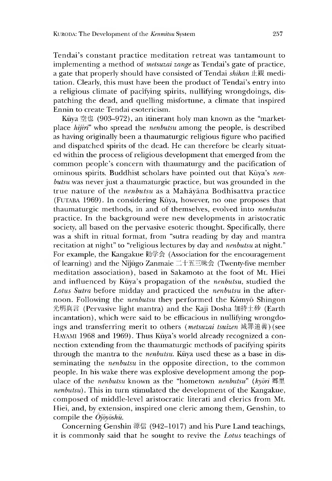Tendai's constant practice meditation retreat was tantamount to implementing a method of *metsuzai zange* as Tendai's gate of practice, a gate that properly should have consisted of Tendai *shikan* 止観 meditation. Clearly, this must have been the product of Tendai's entry into a religious climate of pacifying spirits, nullifying wrongdoings, dispatching the dead, and quelling misfortune, a climate that inspired Ennin to create Tendai esotericism.

Kūya 空也 (903–972), an itinerant holy man known as the "marketplace *hijin*" who spread the *nenbutsu* among the people, is described as having originally been a thaumaturgic religious figure who pacified and dispatched spirits of the dead. He can therefore be clearly situated within the process of religious development that emerged from the common people's concern with thaumaturgy and the pacification of ominous spirits. Buddhist scholars have pointed out that Kūya's *nenbutsu* was never just a thaumaturgic practice, but was grounded in the true nature of the *nenbutsu* as a Mahayana Bodhisattva practice (FUTABA 1969). In considering Kūya, however, no one proposes that thaumaturgic methods, in and of themselves, evolved into *nenbutsu* practice. In the background were new developments in aristocratic society, all based on the pervasive esoteric thought. Specifically, there was a shift in ritual format, from "sutra reading by day and mantra recitation at night" to "religious lectures by day and *nenbutsu* at night." For example, the Kangakue 勧学会 (Association for the encouragement of learning) and the Nijūgo Zanmaie 二十五三昧会 (Twenty-five member meditation association), based in Sakamoto at the foot of Mt. Hiei and influenced by Kūya's propagation of the *nenbutsu*, studied the *Lotus Sutra* before midday and practiced the *nenbutsu* in the afternoon. Following the *nenbutsu* they performed the Komyo Shingon 光明真言 (Pervasive light mantra) and the Kaji Dosha 加持土砂 (Earth incantation), which were said to be efficacious in nullifying wrongdoings and transferring merit to others *(metsuzai tsuizen* 滅罪追吾) (see HAYAMI 1968 and 1969). Thus Kūya's world already recognized a connection extending from the thaumatureic methods of pacifying spirits through the mantra to the *nenbutsu*. Kuya used these as a base in disseminating the *nenbutsu* in the opposite direction, to the common people. In his wake there was explosive development among the populace of the *nenbutsu* known as the "hometown *nenbutsu*" (kyori 郷里 *nenbutsu).* This in turn stimulated the development of the Kangakue, composed of middle-level aristocratic literati and clerics from Mt. Hiei, and, by extension, inspired one cleric among them, Genshin, to compile the  $Oj\overline{o}y\overline{o}sh\overline{u}$ .

Concerning Genshin 源信 (942-1017) and his Pure Land teachings, it is commonly said that he sought to revive the *Lotus* teachings of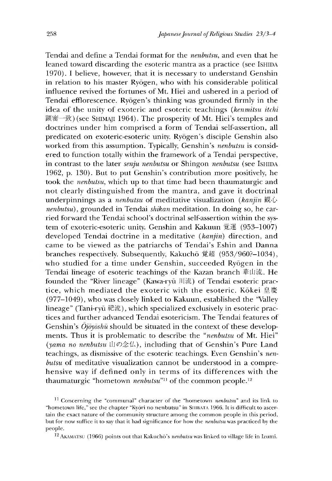Tendai and define a Tendai format for the *nenbutsu,* and even that he leaned toward discarding the esoteric mantra as a practice (see ISHIDA 1970). I believe, however, that it is necessary to understand Genshin in relation to his master Ryogen, who with his considerable political influence revived the fortunes of Mt. Hiei and ushered in a period of Tendai efflorescence. Ryogen's thinking was grounded firmly in the idea of the unity of exoteric and esoteric teachings *(kenmitsu itchi* 顕密一致)(see Shimaji 1964). The prosperity of Mt. Hiei's temples and doctrines under him comprised a form of Tendai self-assertion, all predicated on exoteric-esoteric unity. Ryogen's disciple Genshin also worked from this assumption. Typically, Genshin's *nenbutsu* is considered to function totally within the framework of a Tendai perspective, in contrast to the later *senju nenbutsu* or Shingon *nenbutsu* (see ISHIDA 1962, p. 130). But to put Genshin's contribution more positively, he took the *nenbutsu,* which up to that time had been thaumaturgic and not clearly distinguished from the mantra, and gave it doctrinal underpinnings as a *nenbutsu* of meditative visualization *(kanjin* 観心 *nenbutsu*), grounded in Tendai *shikan* meditation. In doing so, he carried forward the Tendai school's doctrinal self-assertion witnin the system of exoteric-esoteric unity. Genshin and Kakuun 覚運 (953–1007) developed Tendai doctrine in a meditative (*kanjin)* direction, and came to be viewed as the patriarchs of Tendai's Eshin and Danna branches respectively. Subsequently, Kakucho 覚超 (953/960?-1034), who studied for a time under Genshin, succeeded Ryogen in the Tendai lineage of esoteric teachings of the Kazan branch 華山流. He founded the "River lineage" (Kawa-ryū 川流) of Tendai esoteric practice, which mediated the exoteric with the esoteric. Kōkei 皇慶  $(977-1049)$ , who was closely linked to Kakuun, established the "Valley" lineage" (Tani-ryū 祀流), which specialized exclusively in esoteric practices and further advanced Tendai esotericism. The Tendai features of Genshin's  $\overline{\text{O}}$ *joyoshu* should be situated in the context of these developments. Thus it is problematic to describe the *"nenbutsu* of Mt. Hiei" *(yama no nenbutsu* 山の念仏),including that of Genshin's Pure Land teachings, as dismissive of the esoteric teachings. Even Genshin's *nenbutsu* of meditative visualization cannot be understood in a comprehensive way if defined only in terms of its differences with the thaumaturgic "hometown *nenbutsu''11* of the common people.12

11 Concerning the "communal" character of the "hometown *nenbutsu"* and its link to "hometown life," see the chapter "Kyōri no nenbutsu" in SHIBATA 1966. It is difficult to ascertain the exact nature of the community structure among the common people in this period, but for now suffice it to say that it had significance for how the *nenbutsu* was practiced by the people.

<sup>12</sup> AKAMATSU (1966) points out that Kakucho's *nenbutsu* was linked to village life in Izumi.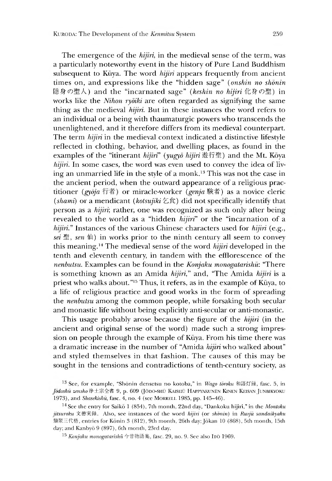The emergence of the *hijiri*, in the medieval sense of the term, was a particularly noteworthy event in the history of Pure Land Buddhism subsequent to Kuya. The word *hijiri* appears frequently from ancient times on, and expressions like the "hidden sage" *(onshin no shonin* 隠身の聖人) and the "incarnated sage" (keshin no hijiri 化身の聖) in works like the *Nihon ryōiki* are often regarded as signifying the same thing as the medieval *hijiri*. But in these instances the word refers to an individual or a being with thaumatureic powers who transcends the unenlightened, and it therefore differs from its medieval counterpart. The term *hijin* in the medieval context indicated a distinctive lifestyle reflected in clothing, behavior, and dwelling places, as found in the examples of the "itinerant *hijiri" {yugyd hijiri 遊行聖*) and the Mt. Koya *hijin*. In some cases, the word was even used to convey the idea of living an unmarried life in the style of a monk.<sup>13</sup> This was not the case in the ancient period, when the outward appearance of a religious practitioner *(gyōja* 行者) or miracle-worker *(genja* 験者) as a novice cleric (shami) or a mendicant (kotsujiki乞食) did not specifically identify that person as a *hijiri*; rather, one was recognized as such only after being revealed to the world as a "hidden *hipri"* or the "incarnation of a hijiri." Instances of the various Chinese characters used for *hijiri* (e.g., *sei* 聖, *sen* 仙) in works prior to the ninth century all seem to convey this meaning.14 The medieval sense of the word *hijin* developed in the tenth and eleventh century, in tandem with the efflorescence of the *nenbutsu.* Examples can be found in the *Konjaku monogatarishu*: "There is something known as an Amida *hyin:'* and, "The Amida *hijin* is a priest who walks about."<sup>15</sup> Thus, it refers, as in the example of Kūya, to a life of religious practice and good works in the form of spreading the *nenbutsu* among the common people, while forsaking both secular and monastic life without being explicitly anti-secular or anti-monastic.

This usage probably arose because the figure of the *hijin* (in the ancient and original sense of the word) made such a strong impression on people through the example of Kuya. From his time there was a dramatic increase in the number of "Amida *mjin* who walked about" and styled themselves in that fashion. The causes of this may be sought in the tensions and contradictions of tenth-century society, as

<sup>&</sup>lt;sup>13</sup> See, for example, "Shōnin densetsu no kotoba," in *Wago tōroku* 和語灯録, fasc. 5, in *Jōdoshū zensho* 浄土宗全書 9, p. 609 (Jōdo-shū Kaishū Happyakunen Kinen Keisan Junbikyoku 1973), and *Shasekishu*, fasc. 4, no. 4 (see MORRELL 1985, pp. 145-46).

<sup>14</sup> See the entry for Saiko 1(854), 7th month, 22nd day, "Dankoku hijiri," in the *Montoku jitsuroku* 文徳実録. Also, see instances of the word *hijiri* (or *shonin)* in *Ruiju sandaikyaku* 類聚三代格,entries for Konin 3 (812), 9th month, 26th day; Jokan 10 (868), 5th month, 15th day; and Kanbyo 9 (897), 6th month, 23rd day.

<sup>&</sup>lt;sup>15</sup> *Konjaku monogatarishū* 今昔物語集, fasc. 29, no. 9. See also Ito 1969.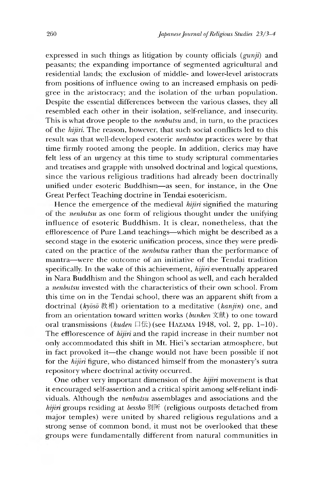expressed in such things as litigation by county officials *(gunji)* and peasants; the expanding importance of segmented agricultural and residential lands; the exclusion of middle- and lower-level aristocrats from positions of influence owing to an increased emphasis on pedigree in the aristocracy; and the isolation of the urban population. Despite the essential differences between the various classes, they all resembled each other in their isolation, self-reliance, and insecurity. 1 his is what drove people to the *nenbutsu* and, in turn, to the practices of the *hijiri.* The reason, however, that such social conflicts led to this result was that well-developed esoteric *nenbutsu* practices were by that time firmly rooted among the people. In addition, clerics may have felt less of an urgency at this time to study scriptural commentaries and treatises and grapple with unsolved doctrinal and logical questions, since the various religious traditions had already been doctrinally unified under esoteric Buddhism—as seen, for instance, in the One Great Perfect Teaching doctrine in Tendai esotericism.

Hence the emergence of the medieval *hijiri* signified the maturing of the *nenbutsu* as one form of religious thought under the unifying influence of esoteric Buddhism. It is clear, nonetheless, that the efflorescence of Pure Land teachings—which might be described as a second stage in the esoteric unification process, since they were predicated on the practice of the *nenbutsu* rather than the performance of mantra—were the outcome of an initiative of the Tendai tradition specifically. In the wake of this achievement, *hijin* eventually appeared in Nara Buddhism and the Shingon school as well, and each heralded a *nenbutsu* invested with the characteristics of their own school. From this time on in the Tendai school, there was an apparent shift from a doctrinal*(kyoso* 孝文ネ目) orientation to a meditative (*kanjin)* one,and from an orientation toward written works (bunken 文献) to one toward oral transmissions  $(kuden \Box \boxtimes)$  (see HAZAMA 1948, vol. 2, pp. 1–10). 1 he efflorescence of *hijin* and the rapid increase in their number not only accommodated this shift in Mt. Hiei's sectarian atmosphere, but in fact provoked it—the change would not have been possible if not for the *hijin* figure, who distanced nimself from the monastery's sutra repository where doctrinal activity occurred.

One other very important dimension of the *hijin* movement is that it encouraged self-assertion and a critical spirit among self-reliant individuals. Although the *nenbutsu* assemblages and associations and the *hijiri* groups residing at *bessho* 別所 (religious outposts detached from major temples) were united by shared religious regulations and a strong sense of common bond, it must not be overlooked that these eroups were fundamentally different from natural communities in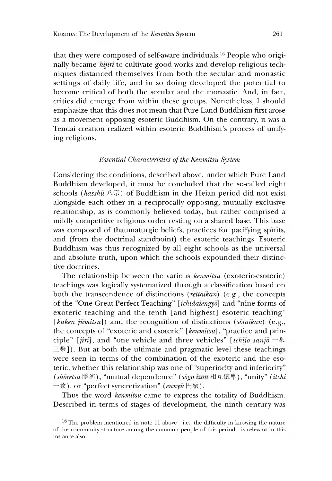that they were composed of self-aware individuals.16 People who originally became *hijin* to cultivate good works and develop religious techniques distanced themselves from both the secular and monastic settings of daily life, and in so doing developed the potential to become critical of both the secular and the monastic. And, in fact, critics did emerge from within these groups. Nonetheless, I should emphasize that this does not mean that Pure Land Buddhism first arose as a movement opposing esoteric Buddhism. On the contrary, it was a Tendai creation realized within esoteric Buddhism's process of unifying religions.

#### *Essential Characteristics of the Kenmitsu System*

Considering the conditions, described above, under which Pure Land Buddhism developed, it must be concluded that the so-called eight schools (hasshu 八宗) of Buddhism in the Heian period did not exist alongside each other in a reciprocally opposing, mutually exclusive relationship, as is commonly believed today, but rather comprised a mildly competitive religious order resting on a shared base. This base was composed of thaumaturgic beliefs, practices for pacifying spirits, and (from the doctrinal standpoint) the esoteric teachings. Esoteric Buddhism was thus recoenized by all eight schools as the universal and absolute truth, upon which the schools expounded their distinctive doctrines.

The relationship between the various *kenmitsu* (exoteric-esoteric) teachings was logically systematized through a classification based on both the transcendence of distinctions *(zettaikan)* (e.g., the concepts of the "One Great Perfect Teaching" [ichidaiengyō] and "nine forms of exoteric teaching and the tenth [and highest] esoteric teaching" [kuken jūmitsu]) and the recognition of distinctions (sotaikan) (e.g., the concepts of "exoteric and esoteric" *[kenmitsu*], "practice and principle" *[jin*], and "one vehicle and three vehicles" *[ichijō sanjō* 一乗  $\equiv$  $\bar{\mathcal{F}}$ ]). But at both the ultimate and pragmatic level these teachings were seen in terms of the combination of the exoteric and the esoteric, whether this relationship was one of "superiority and inferiority" (shoretsu 勝劣), "mutual dependence" (sogo izon 相互依卑), "unity" *(itchi* 一致), or "perfect syncretization" *(ennyu* 円融).

Thus the word *kenmitsu* came to express the totality of Buddhism. Described in terms of stages of development, the ninth century was

 $16$  The problem mentioned in note 11 above—i.e., the difficulty in knowing the nature of the community structure among the common people of this period—is relevant in this instance also.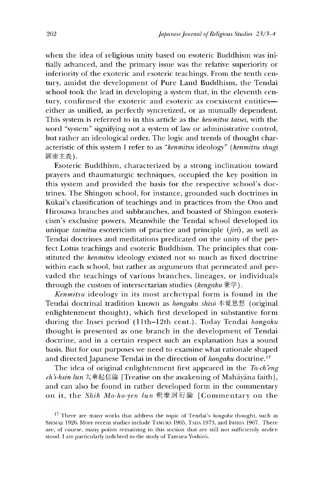when the idea of religious unity based on esoteric Buddhism was initially advanced, and the primary issue was the relative superiority or inferiority of the exoteric and esoteric teachings. From the tenth century, amidst the development of Pure Land Buddhism, the Tendai school took the lead in developing a system that, in the eleventh century, confirmed the exoteric and esoteric as coexistent entities either as unified, as perfectly syncretized, or as mutually dependent. 1 his system is referred to in this article as the *kenmitsu taisei,* with the word "system" signifying not a system of law or administrative control, but rather an ideological order. The logic and trends of thought characteristic of this system I refer to as *"kenmitsu* ideology" *(kenmitsu shugi* 顕密主義).

Esoteric Buddhism, characterized by a strong inclination toward prayers and thaumaturgic techniques, occupied the key position in this system and provided the basis for the respective school's doctrines. The Sningon school, for instance, grounded such doctrines in Kūkai's classification of teachings and in practices from the Ono and Hirosawa branches and subbranches, and boasted of Sningon esotericism's exclusive powers. Meanwhile the Tendai school developed its unique *taimitsu* esotericism of practice and principle  $(i\dot{i}\dot{n})$ , as well as Tendai doctrines and meditations predicated on the unity of the perfect Lotus teachings and esoteric Buddhism. The principles that constituted the *kenmitsu* ideology existed not so much as fixed doctrine within each school, but rather as arguments that permeated and pervaded the teachings of various branches, lineages, or individuals through the custom of in terse ctarian studies *(kengaku* 兼学).

*Kenmitsu* ideology in its most archetypal form is found in the Tendai doctrinal tradition known as *hongaku shiso* 本覚思想 (original enlightenment thought), which first developed in substantive form during the Insei period (llth-12th cent.)• Today Tendai *hongaku* thought is presented as one branch in the development of Tendai doctrine, and in a certain respect such an explanation has a sound basis. But for our purposes we need to examine what rationale shaped and directed Japanese Tendai in the direction of *hongaku* doctrine.17

The idea of original enlightenment first appeared in the *Ta-ch'eng* ch'i-hsin lun大乗起信論 [Treatise on the awakening of Mahayana faith], and can also be found in rather developed form in the commentary on it, the *Shih Mo-ho-yen lun* 釈摩訶衍論 [Commentary on the

<sup>&</sup>lt;sup>17</sup> There are many works that address the topic of Tendai's *hongaku* thought, such as SHIMAJI 1926. More recent studies include TAMURA 1965, TADA 1973, and ISHIDA 1967. There are, of course, many points remaining in this section that are still not sufficiently understood. I am particularly indebted to the study of Tamura Yoshiro.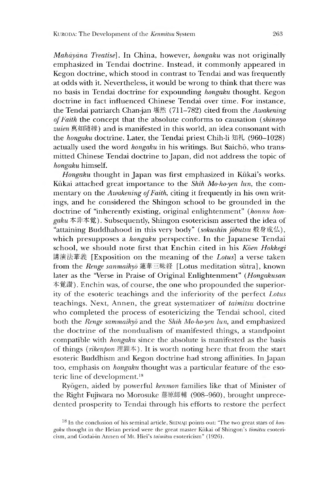*Mahdydna Treatise*]. In China, however, *hongaku* was not originally emphasized in Tendai doctrine. Instead, it commonly appeared in Kegon doctrine, which stood in contrast to Tendai and was frequently at odds with it. Nevertheless, it would be wrong to think that there was no basis in Tendai doctrine for expounding *hongaku* thought. Kegon doctrine in fact influenced Chinese Tendai over time. For instance, the Tendai patriarch Chan-jan (711-782) cited from the *Awakening oj Faith* the concept that the absolute conforms to causation *(shinnyo* zuien 真如随縁) and is manifested in this world, an idea consonant with the *hongaku* doctrine. Later, the Tendai priest Chih-li 知礼 (960–1028) actually used the word *hongaku* in his writings. But Saicho, who transmitted Cninese Tendai doctrine to Japan, did not address the topic of *hongaku* himself.

Hongaku thought in Japan was first emphasized in Kūkai's works. Kukai attached great importance to the *Shih Mo-ho-yen lun,* the commentary on the *Awakening of Faith*, citing it frequently in his own writings, and he considered the Shingon school to be grounded in the doctrine of "inherently existing, original enlightenment" *(honnu hon* $gaku$  本非本覚). Subsequently, Shingon esotericism asserted the idea of "attaining Buddhahood in this very body" (sokushin jobutsu 般身成仏), which presupposes a *hongaku* perspective. In the Japanese Tendai school, we should note first that Enchin cited in his *Koen Hokkegi* 講演法華義 [Exposition on the meaning of the *Lotus*] a verse taken from the *Renge sanmaikyo* 蓮華三昧経 [Lotus meditation sūtra], known later as the "Verse in Praise of Original Enlightenment" (Hongakusan 本覚讚). Enchin was, of course, the one who propounded the superiority of the esoteric teachings and the inferiority of the perfect *Lotus* teachings. Next, Annen, the great systematizer of *taimitsu* doctrine who completed the process of esotericizing the Tendai school, cited both the *Renge sammaikyd* and the *Shih Mo-ho-yen lun,* and emphasized the doctrine of the nondualism of manifested things, a standpoint compatible with *hongaku* since the absolute is manifested as the basis of things *{nkenpon* 理顕本) . It is worth notine here that from the start esoteric Buddhism and Kegon doctrine had strong affinities. In Japan too, emphasis on *hongaku* thought was a particular feature of the esoteric line of development.<sup>18</sup>

Ryogen, aided by powerful *kenmon* families like that of Minister of the Right Fujiwara no Morosuke 藤原師輔 (908-960), brought unprecedented prosperity to Tendai through his efforts to restore the perfect

<sup>&</sup>lt;sup>18</sup> In the conclusion of his seminal article, SHIMAJI points out: "The two great stars of *hongaku* thought in the Heian period were the great master Kukai of Shingon's *tomitsu* esotericism, and Godai-in Annen of Mt. Hiei's *taimitsu* esotericism" (1926).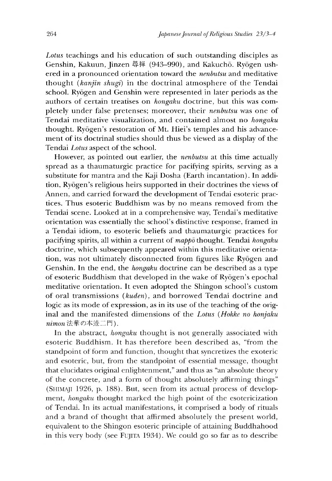*Lotus* teachings and his education of such outstanding disciples as Genshin, Kakuun, Jinzen 尋禅 (943-990), and Kakuchō. Ryōgen ushered in a pronounced orientation toward the *nenbutsu* and meditative thought *(kanjin shugi)* in the doctrinal atmosphere of the Tendai school. Ryōgen and Genshin were represented in later periods as the authors of certain treatises on *hongaku* doctrine, but this was completely under false pretenses; moreover, their *nenbutsu* was one of Tendai meditative visualization, and contained almost no *hongaku* thought. Ryogen's restoration of Mt. Hiei's temples and his advancement of its doctrinal studies should thus be viewed as a display of the Tendai *Lotus* aspect of the school.

However, as pointed out earlier, the *nenbutsu* at this time actually spread as a thaumaturgic practice for pacifying spirits, serving as a substitute for mantra and the Kaji Dosha (Earth incantation). In addition, Ryōgen's religious heirs supported in their doctrines the views of Annen, and carried forward the development of Tendai esoteric practices. Thus esoteric Buddhism was by no means removed from the Tendai scene. Looked at in a comprehensive way, Tendai's meditative orientation was essentially the school's distinctive response, framed in a Tendai idiom, to esoteric beliefs and thaumaturgic practices for pacifying spirits, all within a current of *mappo* thought. Tendai *hongaku* doctrine, which subsequently appeared within this meditative orientation, was not ultimately disconnected from figures like Ryogen and Genshin. In the end, the *hongaku* doctrine can be described as a type of esoteric Buddhism that developed in the wake of Ryogen's epochal meditative orientation. It even adopted the Shingon school's custom of oral transmissions (kuden), and borrowed Tendai doctrine and logic as its mode of expression, as in its use of the teaching of the original and the manifested dimensions of the *Lotus (Hokke no honjaku* nimon 法華の本迹二門).

In the abstract, *hongaku* thought is not generally associated with esoteric Buddhism. It has therefore been described as, "from the standpoint of torm and function, thought that syncretizes the exoteric and esoteric, but, from the standpoint of essential message, thought that elucidates original enlightenment," and thus as "an absolute theory of the concrete, and a form of thought absolutely affirming things" (SHIMAJI 1926, p. 188). But, seen from its actual process of development, *hongaku* thought marked the high point of the esotericization of Tendai. In its actual manifestations, it comprised a body of rituals and a brand of thought that affirmed absolutely the present world, equivalent to the Shineon esoteric principle of attaining Buddhahood in this very body (see FUJITA 1934). We could go so far as to describe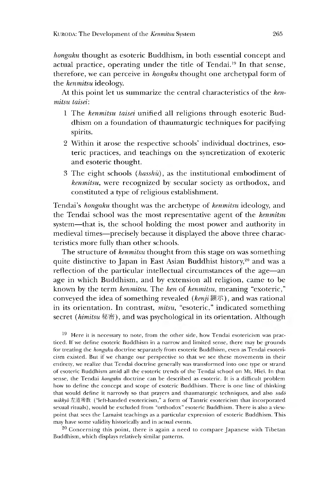*hongaku* thought as esoteric Buddhism, in both essential concept and actual practice, operating under the title of Tendai.<sup>19</sup> In that sense, therefore, we can perceive in *hongaku* thought one archetypal form of the *kenmitsu* ideology.

At this point let us summarize the central characteristics of the *kenmitsu taisei:*

- 1 The *kenmitsu taisei* unified all religions through esoteric Buddhism on a foundation of thaumaturgic techniques for pacifying spirits.
- 2 Within it arose the respective schools' individual doctrines, esoteric practices, and teachings on the syncretization of exoteric and esoteric thought.
- 3 The eight schools *{hasshu),* as the institutional embodiment of *kenmitsu,* were recognized by secular society as orthodox, and constituted a type of religious establishment.

Tendai's *hongaku* thought was the archetype of *kenmitsu* ideology, and the Tendai school was the most representative agent of the *kenmitsu* system—that is, the school holding the most power and authority in medieval times—precisely because it displayed the above three characteristics more fully than other schools.

The structure of *kenmitsu* thought from this stage on was something quite distinctive to Japan in East Asian Buddhist history,<sup>20</sup> and was a reflection of the particular intellectual circumstances of the age—an age in which Buddhism, and by extension all religion, came to be known by the term *kenmitsu.* The *ken* of *kenmitsu,* meaning "exoteric," conveyed the idea of something revealed (kenji顕示), and was rational in its orientation. In contrast, *mitsu,* "esoteric," indicated something secret (himitsu 秘密), and was psychological in its orientation. Although

<sup>19</sup> Here it is necessary to note, from the other side, how Tendai esotericism was practiced. If we define esoteric Buddhism in a narrow and limited sense, there may be grounds for treating the *hongaku* doctrine separately from esoteric Buddhism, even as Tendai esotericism existed. But if we change our perspective so that we see these movements in their entirety, we realize that Tendai doctrine generally was transformed into one type or strand of esoteric Buddhism amid all the esoteric trends of the Tendai school on Mt. Hiei. In that sense, the Tendai *hongaku* doctrine can be described as esoteric. It is a difficult problem how to define the concept and scope of esoteric Buddhism. There is one line of thinking that would define it narrowly so that prayers and thaumaturgic techniques, and also sado mikkyō 左道密教 ("left-handed esotericism," a form of Tantric esotericism that incorporated sexual rituals), would be excluded from "orthodox" esoteric Buddhism. There is also a viewpoint that sees the Lamaist teachings as a particular expression of esoteric Buddhism. Ihis may have some validity historically and in actual events.

 $20$  Concerning this point, there is again a need to compare Japanese with Tibetan Buddhism, which displays relatively similar patterns.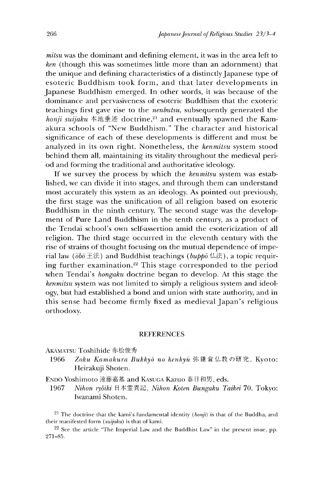*mitsu* was the dominant and defining element, it was in the area left to *ken* (though this was sometimes little more than an adornment) that the unique and defining characteristics of a distinctly Japanese type of esoteric Buddhism took form, and that later developments in Japanese Buddhism emerged. In other words, it was because of the dominance and pervasiveness of esoteric Buddhism that the exoteric teachings first gave rise to the *nenbutsu,* subsequently generated the *honji suijaku* 本地垂迹 doctrine,21 and eventually spawned the Kamakura schools of "New Buddhism." The character and historical significance of each of these developments is different and must be analyzed in its own right. Nonetheless, the *kenmitsu* system stood behind them all, maintaining its vitality throughout the medieval period and forming the traditional and authoritative ideology.

If we survey the process by which the *kenmitsu* system was established, we can divide it into stages, and through them can understand most accurately this system as an ideology. As pointed out previously, the first stage was the unification of all religion based on esoteric Buddhism in the ninth century. The second stage was the development of Pure Land Buddhism in the tenth century, as a product of the Tendai school's own self-assertion amid the esotericization of all religion. The third stage occurred in the eleventh century with the rise of strains of thought focusing on the mutual dependence of imperial law *(obo* 王法)and Buddhist teachings *(buppd 仏法、,* a topic requiring further examination.<sup>22</sup> This stage corresponded to the period when Tendai's *hongaku* doctrine began to develop. At this stage the *kenmitsu* system was not limited to simply a religious system and ideology, but had established a bond and union with state authority, and in this sense had become firmly fixed as medieval Japan's religious orthodoxy.

#### **REFERENCES**

AKAMATSU Toshihide 赤松俊秀

- 1966 *Zoku Kamakura Bukkyd no kenkyu* 弥鎌倉仏教の研究 . Kyoto: Heirakuji Shoten.
- Endo Yoshimoto 遠藤嘉基 and Kasuga Kazuo 春曰和男,eds.
- 1967 Nihon ryōiki 日本霊異記. Nihon Koten Bungaku Taikei 70. Tokyo: Iwanami Shoten.

<sup>21</sup> The doctrine that the kami's fundamental identity *(honji)* is that of the Buddha, and their manifested form *{suijaku)* is that of kami.

 $22$  See the article "The Imperial Law and the Buddhist Law" in the present issue, pp. 271-85.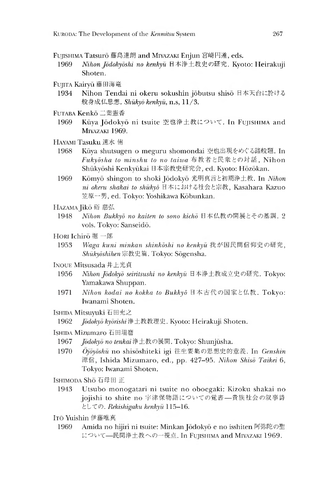Fujishima Tatsuro 藤島達朗 and Miyazaki Enjun 宮崎円遵,eds.

- 1969 *Nihon Jodokyoshi no kenkyu* 本浄土教史の研究. Kyoto: Heirakuji Shoten.
- FUJITA Kairyu 藤田海竜
	- 1934 Nihon Tendai ni okeru sokushin jōbutsu shisō 日本天台に於ける 般身成仏思想. Shukyō kenkyu, n.s, 11/3.
- FUTABA Kenko 二葉憲香
	- 1969 Kūya Jōdokyō ni tsuite 空也浄土教について. In Fujishima and Miyazaki 1969.
- Hayami Tasuku 速水侑
	- 1968 Kūya shutsugen o meguru shomondai 空也出現をめぐる諸般題. In Fukyōsha to minshu to no taiwa 布教者と民衆との対話, Nihon Shukyoshi Kenkyukai 日本宗教史研究会,ed. Kyoto: Hozokan.
	- 1969 Komyo shingon to shoki Jodokyo 光明真言と初期浄土教. In *Nihon ni okeru shakai to shukyd* 日本における社会 宗教,Kasahara Kazuo 笠原 ed. Tokyo: Yoshikawa Kobunkan.
- Hazama Jikō 硲 慈弘
	- 1948 *Nihon Bukkyō no kaiten to sono kichō* 日本仏教の開展とその基調. 2 vols. Tokyo: Sanseidō.
- HORI Ichiro 堀 一郎
	- 1953 Waga kuni minkan shinkōshi no kenkyū 我が国民間信仰史の研究, *SMtkydshihen 宗教安M .* Tokyo: Sogensha.
- INOUE Mitsusada 井上光貞
	- 1956 *Nihon Jodokyo seiritsushi no kenkyu* 日本浄土教成立史の研究. Tokyo: Yamakawa Shuppan.
	- 1971 *Nihon kodai no kokka to Bukkyō* 日本古代の国家と仏教. Tokyo: Iwanami shoten.
- Ishida Mitsuvuki 石田充之
	- 1962 *Jodokyo kyorishi*浄土教教理史. Kyoto: Heirakuji Shoten.
- ISHIDA Mizumaro 石田瑞麿
	- 1967 *Jodokyo no tenkai* 浄土教の展開. Tokyo: Shunjusha.
	- 1970 *Ojōyōshū* no shisōshiteki igi 往生要集の思想史的意義. In *Genshin* 源信,Ishida Mizumaro, ed., Dp. 427-95. *Nihon Shiso Taikei* 6 Tokyo: Iwanami Shoten.

Ishimoda Sho 石母田 正

- 1943 Utsubo monogatari ni tsuite no oboegaki: Kizoku shakai no jojishi to shite no 宇津保物語についての覚書––貴族社会の叙事詩 として *. Rekishigaku kenkyu* 115-16.
- Ito Yuishin 伊藤唯真
- 1969 Amida no hijiri ni tsuite: Minkan Jōdokyō e no isshiten 阿弥陀の聖 について––民間浄土教への一視点. In Fujishima and Miyazaki 1969.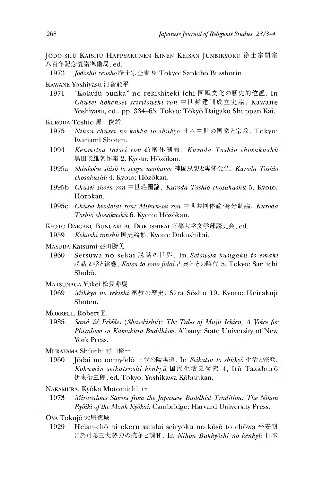Jodo-shu Kaishu Happyakunen Kinen Keisan Junbikyoku 浄土宗開宗 八百年記念慶讃準備局.ed.

1973 *Jodoshū zensho* 浄土宗全書 9. Tokyo: Sankibo Busshorin.

Kawane Yoshiyasu 河音能平

- 1971 "Kokufū bunka" no rekishiteki ichi 国風文化の歴史的位置. In *Chūsei hōkensei seiritsushi ron* 中世封建制成立史論, Kawane Yoshiyasu, ed., pp. 334-65. Tokyo: Tōkyō Daigaku Shuppan Kai.
- KURODA Toshio 黒田俊雄
	- 1975 *Nihon chusei no kokka to shukyo* 日本中世の国家と宗教. Tokyo: Iwanami Snoten.
	- 1994 *Kenmitsu taisei ron* 顕密体制 *. Kuroda Toshio chosakushu* 黒田俊雄著作集 2. Kyoto: Hōzōkan.
	- 1995a *Shinkoku shiso to senju nenbutsu* 神国思想 念仏*. Kuroda Toshio chosakushu* 4. Kvoto: Hozokan.
	- 1995b *Chusei shoen ron* 中世荘園論. Kuroda Toshio chosakushu 5. Kyoto: Hōzōkan.
	- 1995c *Chusei kyōdōtai ron; Mibun-sei ron* 中世共同体論·身分制論. Kuroda *Loshio ctiosakusnu* 6. Kyoto: Hozokan.
- KYOTO DAIGAKU BUNGAKUBU DOKUSHIKAI 京都大学文学部読史会, ed.

1959 Kokushi ronshu 国史論集. Kyoto: Dokushikai.

- MASUDA Katsumi 益田勝美
	- 1960 Setsuwa no sekai 説 話 世 界 . In *Setsuwa bungaku to emaki* 説話文学と絵巻, Koten to sono jidai 古典とその時代 5. Tokyo: San'ichi Shobo.
- MATSUNAGA Yukei 松長非慶
- 1969 *Mikkyō no rekishi* 密教の歴史. Sāra Sōsho 19. Kyoto: Heirakuji Shoten.
- MORRELL, Robert E.
	- 1985 *Sand Pebbles {Shasekishu*): *The Tales of Muju Ichien,A Voice for Pluralism in Kamakura Buddhism.* Albany: State University of New York Press.
- MURAYAMA Shūichi 村山修一
- 1960 Jodai no onmyodo 代の陰陽道. In *Seikatsu to shukyd* 活と宗教, *Kokumin seikatsushi kenkyu* 国民生活史研究 4,Ito Tazaburo 伊東衍三郎, ed. Tokyo: Yoshikawa Kōbunkan.
- NAKAMURA, Kyōko Motomichi, tr.
	- 1973 *Miraculous Stories from the Japanese Buddhist Tradition: The Nihon Rydiki of the Monk Kyokai* Cambridge: Harvard University Press.
- Ōya Tokujō 大屋徳城
- 1929 Heian-chō ni okeru sandai seiryoku no kōsō to chōwa 平安朝 に於ける三大勢力の抗争と調和. In *Nihon Bukkyōshi no kenkyū* 日本